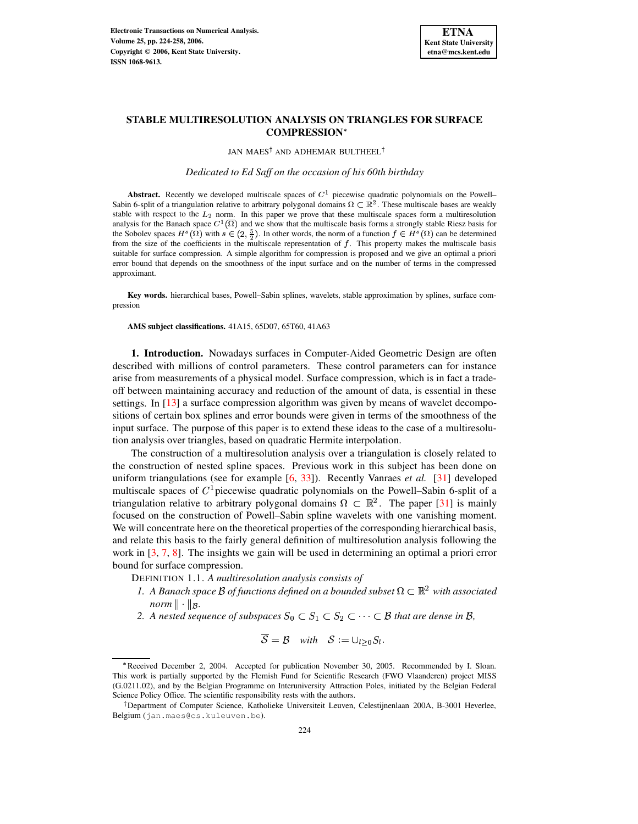

# **STABLE MULTIRESOLUTION ANALYSIS ON TRIANGLES FOR SURFACE COMPRESSION**

JAN MAES† AND ADHEMAR BULTHEEL†

*Dedicated to Ed Saff on the occasion of his 60th birthday*

**Abstract.** Recently we developed multiscale spaces of  $C<sup>1</sup>$  piecewise quadratic polynomials on the Powell– Sabin 6-split of a triangulation relative to arbitrary polygonal domains  $\Omega \subset \mathbb{R}^2$ . These multiscale bases are weakly stable with respect to the  $L_2$  norm. In this paper we prove that these multiscale spaces form a multiresolution analysis for the Banach space  $C^{1}(\Omega)$  and we show that the multiscale basis forms a strongly stable Riesz basis for the Sobolev spaces  $H^s(\Omega)$  with  $s \in (2, \frac{5}{2})$ . In other words, the norm of a function  $f \in H^s(\Omega)$  can be determined from the size of the coefficients in the multiscale representation of  $f$ . This property makes the multiscale basis suitable for surface compression. A simple algorithm for compression is proposed and we give an optimal a priori error bound that depends on the smoothness of the input surface and on the number of terms in the compressed approximant.

**Key words.** hierarchical bases, Powell–Sabin splines, wavelets, stable approximation by splines, surface compression

**AMS subject classifications.** 41A15, 65D07, 65T60, 41A63

**1. Introduction.** Nowadays surfaces in Computer-Aided Geometric Design are often described with millions of control parameters. These control parameters can for instance arise from measurements of a physical model. Surface compression, which is in fact a tradeoff between maintaining accuracy and reduction of the amount of data, is essential in these settings. In  $[13]$  a surface compression algorithm was given by means of wavelet decompositions of certain box splines and error bounds were given in terms of the smoothness of the input surface. The purpose of this paper is to extend these ideas to the case of a multiresolution analysis over triangles, based on quadratic Hermite interpolation.

The construction of a multiresolution analysis over a triangulation is closely related to the construction of nested spline spaces. Previous work in this subject has been done on uniform triangulations (see for example [\[6,](#page-33-0) [33\]](#page-34-1)). Recently Vanraes *et al.* [\[31\]](#page-34-2) developed multiscale spaces of  $C<sup>1</sup>$  piecewise quadratic polynomials on the Powell–Sabin 6-split of a triangulation relative to arbitrary polygonal domains  $\Omega \subset \mathbb{R}^2$ . The paper [\[31\]](#page-34-2) is mainly focused on the construction of Powell–Sabin spline wavelets with one vanishing moment. We will concentrate here on the theoretical properties of the corresponding hierarchical basis, and relate this basis to the fairly general definition of multiresolution analysis following the work in [\[3,](#page-33-1) [7,](#page-33-2) [8\]](#page-33-3). The insights we gain will be used in determining an optimal a priori error bound for surface compression.

<span id="page-0-0"></span>DEFINITION 1.1. *A multiresolution analysis consists of*

- *1. A Banach space*  $\beta$  *of functions defined on a bounded subset*  $\Omega \subset \mathbb{R}^2$  *with associated norm*  $\|\cdot\|_{\mathcal{B}}$ .
- *2. A* nested sequence of subspaces  $S_0 \subset S_1 \subset S_2 \subset \cdots \subset B$  that are dense in B,

$$
S = B \quad with \quad S := \cup_{l>0} S_l.
$$

<sup>\*</sup>Received December 2, 2004. Accepted for publication November 30, 2005. Recommended by I. Sloan. This work is partially supported by the Flemish Fund for Scientific Research (FWO Vlaanderen) project MISS (G.0211.02), and by the Belgian Programme on Interuniversity Attraction Poles, initiated by the Belgian Federal Science Policy Office. The scientific responsibility rests with the authors.

<sup>&</sup>lt;sup>†</sup> Department of Computer Science, Katholieke Universiteit Leuven, Celestijnenlaan 200A, B-3001 Heverlee, Belgium (jan.maes@cs.kuleuven.be).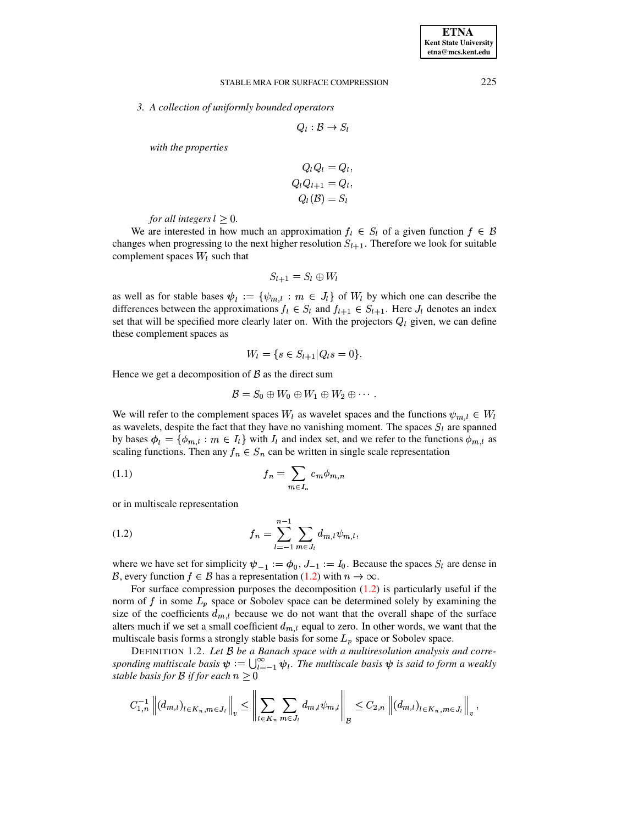## STABLE MRA FOR SURFACE COMPRESSION 225

*3. A collection of uniformly bounded operators*

$$
Q_l: \mathcal{B} \to S_l
$$

*with the properties*

$$
\begin{aligned} Q_l Q_l &= Q_l, \\ Q_l Q_{l+1} &= Q_l, \\ Q_l (\mathcal{B}) &= S_l \end{aligned}
$$

*for all integers*  $l > 0$ .

We are interested in how much an approximation  $f_l \in S_l$  of a given function  $f \in \mathcal{B}$ changes when progressing to the next higher resolution  $S_{l+1}$ . Therefore we look for suitable complement spaces  $W_l$  such that

$$
S_{l+1} = S_l \oplus W_l
$$

as well as for stable bases  $\psi_l := \{ \psi_{m,l} : m \in J_l \}$  of  $W_l$  by which one can describe the differences between the approximations  $f_l \in S_l$  and  $f_{l+1} \in S_{l+1}$ . Here  $J_l$  denotes an index set that will be specified more clearly later on. With the projectors  $Q_l$  given, we can define these complement spaces as

$$
W_l = \{ s \in S_{l+1} | Q_l s = 0 \}.
$$

Hence we get a decomposition of  $\beta$  as the direct sum

$$
\mathcal{B}=S_0\oplus W_0\oplus W_1\oplus W_2\oplus\cdots.
$$

We will refer to the complement spaces  $W_l$  as wavelet spaces and the functions  $\psi_{m,l} \in W_l$ as wavelets, despite the fact that they have no vanishing moment. The spaces  $S_l$  are spanned by bases  $\phi_l = \{\phi_{m,l} : m \in I_l\}$  with  $I_l$  and index set, and we refer to the functions  $\phi_{m,l}$  as scaling functions. Then any  $f_n \in S_n$  can be written in single scale representation

$$
(1.1)\qquad \qquad f_n = \sum_{m \in I_n} c_m \phi_{m,n}
$$

<span id="page-1-0"></span>or in multiscale representation

(1.2) 
$$
f_n = \sum_{l=-1}^{n-1} \sum_{m \in J_l} d_{m,l} \psi_{m,l},
$$

where we have set for simplicity  $\psi_{-1} := \phi_0, J_{-1} := I_0$ . Because the spaces  $S_l$  are dense in B, every function  $f \in \mathcal{B}$  has a representation [\(1.2\)](#page-1-0) with  $n \to \infty$ .

For surface compression purposes the decomposition [\(1.2\)](#page-1-0) is particularly useful if the norm of  $f$  in some  $L_p$  space or Sobolev space can be determined solely by examining the size of the coefficients  $d_{m,l}$  because we do not want that the overall shape of the surface alters much if we set a small coefficient  $d_{m,l}$  equal to zero. In other words, we want that the multiscale basis forms a strongly stable basis for some  $L_p$  space or Sobolev space.

DEFINITION 1.2. *Let* <sup>+</sup> *be a Banach space with a multiresolution analysis and corre*sponding multiscale basis  $\psi := \bigcup_{l=-1}^{\infty} \psi_l$ . The multiscale basis  $\psi$  is said to form a weakly *stable basis for B if for each*  $n \geq 0$ 

$$
C_{1,n}^{-1}\left\|(d_{m,l})_{l\in K_n,m\in J_l}\right\|_v\leq \left\|\sum_{l\in K_n}\sum_{m\in J_l}d_{m,l}\psi_{m,l}\right\|_{\mathcal{B}}\leq C_{2,n}\left\|(d_{m,l})_{l\in K_n,m\in J_l}\right\|_v,
$$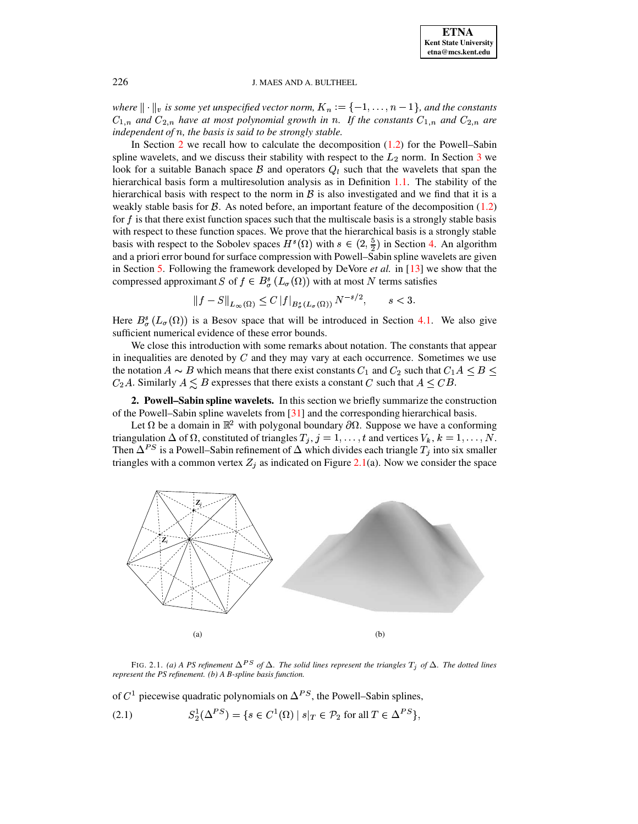

*where*  $\|\cdot\|_v$  *is some yet unspecified vector norm,*  $K_n := \{-1, \ldots, n-1\}$ *, and the constants*  $C_{1,n}$  and  $C_{2,n}$  have at most polynomial growth in n. If the constants  $C_{1,n}$  and  $C_{2,n}$  are independent of *n*, the basis is said to be strongly stable.

In Section [2](#page-2-0) we recall how to calculate the decomposition [\(1.2\)](#page-1-0) for the Powell–Sabin spline wavelets, and we discuss their stability with respect to the  $L_2$  norm. In Section [3](#page-7-0) we look for a suitable Banach space  $\beta$  and operators  $Q_l$  such that the wavelets that span the hierarchical basis form a multiresolution analysis as in Definition [1.1.](#page-0-0) The stability of the hierarchical basis with respect to the norm in  $\beta$  is also investigated and we find that it is a weakly stable basis for  $\beta$ . As noted before, an important feature of the decomposition [\(1.2\)](#page-1-0) for  $f$  is that there exist function spaces such that the multiscale basis is a strongly stable basis with respect to these function spaces. We prove that the hierarchical basis is a strongly stable basis with respect to the Sobolev spaces  $H^s(\Omega)$  with  $s \in (2, \frac{5}{2})$  in Section [4.](#page-14-0) An algorithm ) and a priori error bound for surface compression with Powell–Sabin spline wavelets are given in Section [5.](#page-22-0) Following the framework developed by DeVore *et al.* in [\[13\]](#page-34-0) we show that the compressed approximant S of  $f \in B^s_\sigma(L_\sigma(\Omega))$  with at most N terms satisfies

$$
||f - S||_{L_{\infty}(\Omega)} \le C |f|_{B_{\sigma}^{s}(L_{\sigma}(\Omega))} N^{-s/2}, \qquad s < 3.
$$

Here  $B^s_\sigma(L_\sigma(\Omega))$  is a Besov space that will be introduced in Section [4.1.](#page-14-1) We also give sufficient numerical evidence of these error bounds.

We close this introduction with some remarks about notation. The constants that appear in inequalities are denoted by  $C$  and they may vary at each occurrence. Sometimes we use the notation  $A \sim B$  which means that there exist constants  $C_1$  and  $C_2$  such that  $C_1 A \leq B \leq$  $C_2A$ . Similarly  $A \leq B$  expresses that there exists a constant C such that  $A \leq CB$ .

<span id="page-2-0"></span>**2. Powell–Sabin spline wavelets.** In this section we briefly summarize the construction of the Powell–Sabin spline wavelets from [\[31\]](#page-34-2) and the corresponding hierarchical basis.

Let  $\Omega$  be a domain in  $\mathbb{R}^2$  with polygonal boundary  $\partial\Omega$ . Suppose we have a conforming triangulation  $\Delta$  of  $\Omega$ , constituted of triangles  $T_j$ ,  $j = 1, \ldots, t$  and vertices  $V_k$ ,  $k = 1, \ldots, N$ . Then  $\Delta^{PS}$  is a Powell–Sabin refinement of  $\Delta$  which divides each triangle  $T_j$  into six smaller triangles with a common vertex  $Z_i$  as indicated on Figure [2.1\(](#page-2-1)a). Now we consider the space



<span id="page-2-1"></span>FIG. 2.1. (a) A PS refinement  $\Delta^{PS}$  of  $\Delta$ . The solid lines represent the triangles  $T_j$  of  $\Delta$ . The dotted lines *represent the PS refinement. (b) A B-spline basis function.*

of  $C^1$  piecewise quadratic polynomials on  $\Delta^{PS}$ , the Powell–Sabin splines,

(2.1) 
$$
S_2^1(\Delta^{PS}) = \{ s \in C^1(\Omega) \mid s|_T \in \mathcal{P}_2 \text{ for all } T \in \Delta^{PS} \},
$$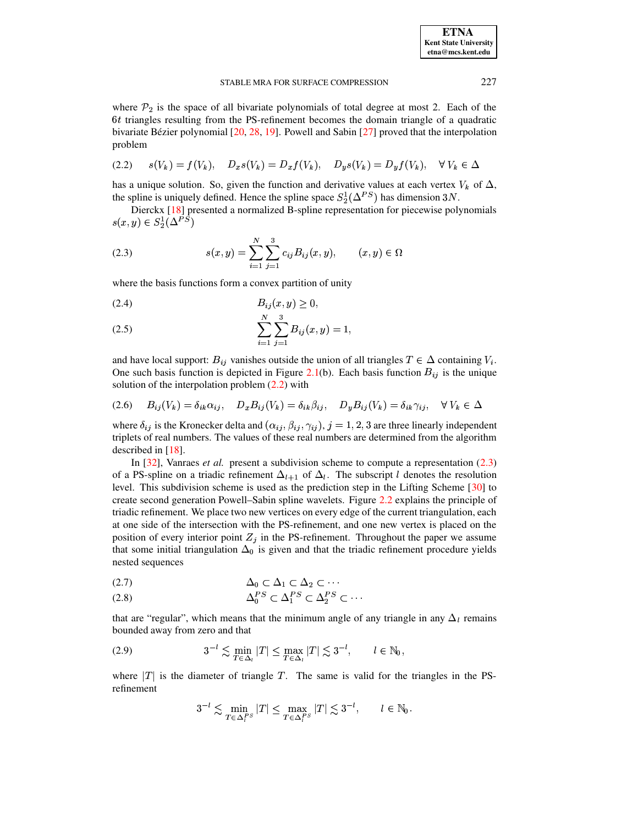**ETNA Kent State University**  $etna@mcs. kent.edu$ 

#### STABLE MRA FOR SURFACE COMPRESSION

where  $\mathcal{P}_2$  is the space of all bivariate polynomials of total degree at most 2. Each of the 6t triangles resulting from the PS-refinement becomes the domain triangle of a quadratic bivariate Bézier polynomial [20, 28, 19]. Powell and Sabin [27] proved that the interpolation problem

<span id="page-3-0"></span>
$$
(2.2) \qquad s(V_k) = f(V_k), \quad D_x s(V_k) = D_x f(V_k), \quad D_y s(V_k) = D_y f(V_k), \quad \forall \ V_k \in \Delta
$$

has a unique solution. So, given the function and derivative values at each vertex  $V_k$  of  $\Delta$ , the spline is uniquely defined. Hence the spline space  $S_2^1(\Delta^{PS})$  has dimension 3N.

<span id="page-3-1"></span>Dierckx [18] presented a normalized B-spline representation for piecewise polynomials  $s(x, y) \in S_2^1(\Delta^{PS})$ 

(2.3) 
$$
s(x,y) = \sum_{i=1}^{N} \sum_{j=1}^{3} c_{ij} B_{ij}(x,y), \qquad (x,y) \in \Omega
$$

where the basis functions form a convex partition of unity

<span id="page-3-3"></span>
$$
(2.4) \t\t B_{ij}(x,y) \ge 0
$$

(2.5) 
$$
\sum_{i=1}^{N} \sum_{j=1}^{3} B_{ij}(x, y) = 1
$$

and have local support:  $B_{ij}$  vanishes outside the union of all triangles  $T \in \Delta$  containing  $V_i$ . One such basis function is depicted in Figure 2.1(b). Each basis function  $B_{ij}$  is the unique solution of the interpolation problem  $(2.2)$  with

<span id="page-3-2"></span>
$$
(2.6) \qquad B_{ij}(V_k) = \delta_{ik}\alpha_{ij}, \qquad D_x B_{ij}(V_k) = \delta_{ik}\beta_{ij}, \qquad D_y B_{ij}(V_k) = \delta_{ik}\gamma_{ij}, \qquad \forall \ V_k \in \Delta
$$

where  $\delta_{ij}$  is the Kronecker delta and  $(\alpha_{ij}, \beta_{ij}, \gamma_{ij}), j = 1, 2, 3$  are three linearly independent triplets of real numbers. The values of these real numbers are determined from the algorithm described in  $[18]$ .

In [32], Vanraes *et al.* present a subdivision scheme to compute a representation  $(2.3)$ of a PS-spline on a triadic refinement  $\Delta_{l+1}$  of  $\Delta_l$ . The subscript l denotes the resolution level. This subdivision scheme is used as the prediction step in the Lifting Scheme [30] to create second generation Powell–Sabin spline wavelets. Figure 2.2 explains the principle of triadic refinement. We place two new vertices on every edge of the current triangulation, each at one side of the intersection with the PS-refinement, and one new vertex is placed on the position of every interior point  $Z_j$  in the PS-refinement. Throughout the paper we assume that some initial triangulation  $\Delta_0$  is given and that the triadic refinement procedure yields nested sequences

(2.7) 
$$
\Delta_0 \subset \Delta_1 \subset \Delta_2 \subset \cdots
$$

$$
\Delta_0^{PS} \subset \Delta_1^{PS} \subset \Delta_2^{PS} \subset \cdots
$$

that are "regular", which means that the minimum angle of any triangle in any 
$$
\Delta_l
$$
 remains

<span id="page-3-4"></span>bounded away from zero and that

(2.9) 
$$
3^{-l} \lesssim \min_{T \in \Delta_l} |T| \leq \max_{T \in \Delta_l} |T| \lesssim 3^{-l}, \qquad l \in \mathbb{N}_0,
$$

where  $|T|$  is the diameter of triangle T. The same is valid for the triangles in the PSrefinement

$$
3^{-l} \lesssim \min_{T \in \Delta_l^{PS}} |T| \le \max_{T \in \Delta_l^{PS}} |T| \lesssim 3^{-l}, \qquad l \in \mathbb{N}_0
$$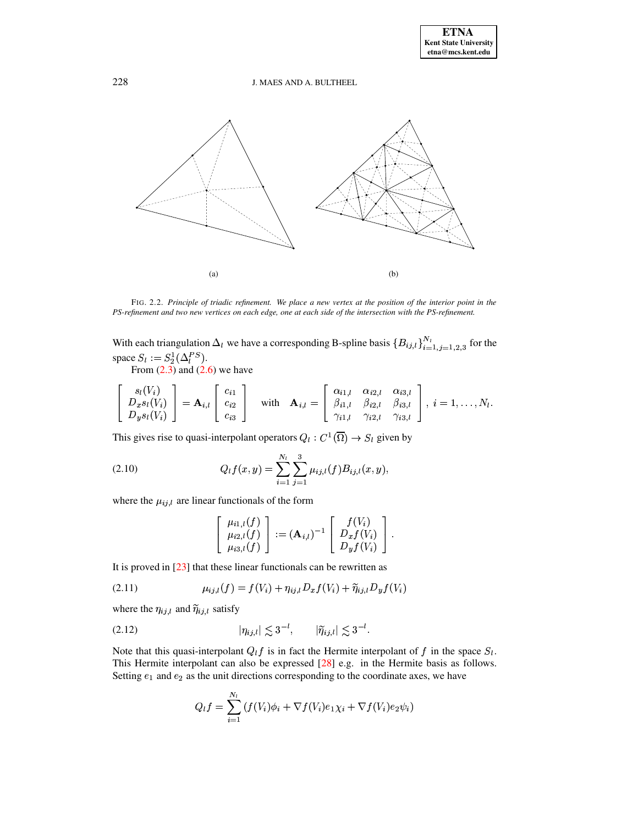

<span id="page-4-0"></span>FIG. 2.2. Principle of triadic refinement. We place a new vertex at the position of the interior point in the PS-refinement and two new vertices on each edge, one at each side of the intersection with the PS-refinement.

With each triangulation  $\Delta_l$  we have a corresponding B-spline basis  ${B_{ij,l}}_{i=1,j=1,2,3}^{N_l}$  for the space  $S_l := S_2^1(\Delta_l^{PS})$ .

From  $(2.3)$  and  $(2.6)$  we have

$$
\begin{bmatrix}\ns_l(V_i) \\
D_x s_l(V_i) \\
D_y s_l(V_i)\n\end{bmatrix} = \mathbf{A}_{i,l} \begin{bmatrix}\nc_{i1} \\
c_{i2} \\
c_{i3}\n\end{bmatrix} \quad \text{with} \quad \mathbf{A}_{i,l} = \begin{bmatrix}\n\alpha_{i1,l} & \alpha_{i2,l} & \alpha_{i3,l} \\
\beta_{i1,l} & \beta_{i2,l} & \beta_{i3,l} \\
\gamma_{i1,l} & \gamma_{i2,l} & \gamma_{i3,l}\n\end{bmatrix}, i = 1, ..., N_l.
$$

This gives rise to quasi-interpolant operators  $Q_l : C^1(\overline{\Omega}) \to S_l$  given by

(2.10) 
$$
Q_l f(x, y) = \sum_{i=1}^{N_l} \sum_{j=1}^3 \mu_{ij,l}(f) B_{ij,l}(x, y),
$$

where the  $\mu_{ij,l}$  are linear functionals of the form

<span id="page-4-3"></span><span id="page-4-1"></span>
$$
\left[\begin{array}{c} \mu_{i1,l}(f) \\ \mu_{i2,l}(f) \\ \mu_{i3,l}(f) \end{array}\right] := (\mathbf{A}_{i,l})^{-1} \left[\begin{array}{c} f(V_i) \\ D_x f(V_i) \\ D_y f(V_i) \end{array}\right].
$$

It is proved in  $[23]$  that these linear functionals can be rewritten as

(2.11) 
$$
\mu_{ij,l}(f) = f(V_i) + \eta_{ij,l} D_x f(V_i) + \widetilde{\eta}_{ij,l} D_y f(V_i)
$$

<span id="page-4-2"></span>where the  $\eta_{ij,l}$  and  $\tilde{\eta}_{ij,l}$  satisfy

$$
(2.12) \t\t |\eta_{ij,l}| \lesssim 3^{-l}, \t |\widetilde{\eta}_{ij,l}| \lesssim 3^{-l}.
$$

Note that this quasi-interpolant  $Q_l f$  is in fact the Hermite interpolant of f in the space  $S_l$ . This Hermite interpolant can also be expressed [28] e.g. in the Hermite basis as follows. Setting  $e_1$  and  $e_2$  as the unit directions corresponding to the coordinate axes, we have

$$
Q_{l}f = \sum_{i=1}^{N_{l}} (f(V_{i})\phi_{i} + \nabla f(V_{i})e_{1}\chi_{i} + \nabla f(V_{i})e_{2}\psi_{i})
$$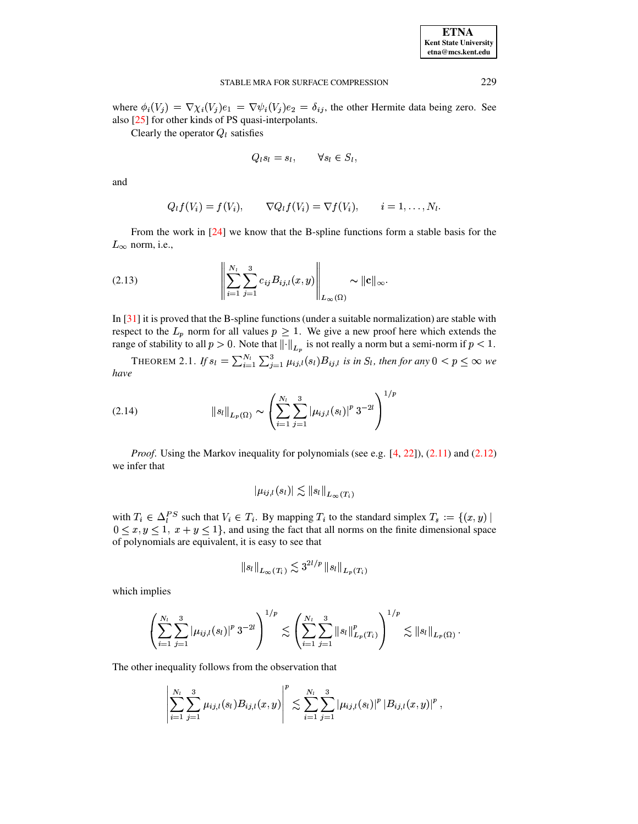where  $\phi_i(V_j) = \nabla \chi_i(V_j) e_1 = \nabla \psi_i(V_j) e_2 = \delta_{ij}$ , the other Hermite data being zero. See also [25] for other kinds of PS quasi-interpolants.

Clearly the operator  $Q_l$  satisfies

$$
Q_l s_l = s_l, \qquad \forall s_l \in S_l,
$$

and

$$
Q_l f(V_i) = f(V_i), \qquad \nabla Q_l f(V_i) = \nabla f(V_i), \qquad i = 1, \ldots, N_l
$$

<span id="page-5-0"></span>From the work in  $[24]$  we know that the B-spline functions form a stable basis for the  $L_{\infty}$  norm, i.e.,

(2.13) 
$$
\left\| \sum_{i=1}^{N_l} \sum_{j=1}^3 c_{ij} B_{ij,l}(x,y) \right\|_{L_\infty(\Omega)} \sim ||c||_{\infty}.
$$

In  $[31]$  it is proved that the B-spline functions (under a suitable normalization) are stable with respect to the  $L_p$  norm for all values  $p \geq 1$ . We give a new proof here which extends the range of stability to all  $p > 0$ . Note that  $\left\| \cdot \right\|_{L_p}$  is not really a norm but a semi-norm if  $p < 1$ .

<span id="page-5-2"></span>THEOREM 2.1. If  $s_l = \sum_{i=1}^{N_l} \sum_{j=1}^{3} \mu_{ij,l}(s_l) B_{ij,l}$  is in  $S_l$ , then for any  $0 \lt p \le \infty$  we have

(2.14) 
$$
\|s_l\|_{L_p(\Omega)} \sim \left(\sum_{i=1}^{N_l} \sum_{j=1}^3 |\mu_{ij,l}(s_l)|^p 3^{-2l}\right)^{1/p}
$$

*Proof.* Using the Markov inequality for polynomials (see e.g.  $[4, 22]$ ),  $(2.11)$  and  $(2.12)$ we infer that

<span id="page-5-1"></span>
$$
|\mu_{ij,l}(s_l)| \lesssim ||s_l||_{L_{\infty}(T_i)}
$$

with  $T_i \in \Delta_l^{PS}$  such that  $V_i \in T_i$ . By mapping  $T_i$  to the standard simplex  $T_s := \{(x, y) \mid$  $0 \le x, y \le 1, x + y \le 1$ , and using the fact that all norms on the finite dimensional space of polynomials are equivalent, it is easy to see that

$$
\|s_l\|_{L_{\infty}(T_i)} \lesssim 3^{2l/p} \, \|s_l\|_{L_p(T_i)}
$$

which implies

$$
\left(\sum_{i=1}^{N_l}\sum_{j=1}^3|\mu_{ij,l}(s_l)|^p\,3^{-2l}\right)^{1/p}\lesssim \left(\sum_{i=1}^{N_l}\sum_{j=1}^3\|s_l\|_{L_p(T_i)}^p\right)^{1/p}\lesssim \|s_l\|_{L_p(\Omega)}
$$

The other inequality follows from the observation that

$$
\left|\sum_{i=1}^{N_l}\sum_{j=1}^3\mu_{ij,l}(s_l)B_{ij,l}(x,y)\right|^p\lesssim \sum_{i=1}^{N_l}\sum_{j=1}^3|\mu_{ij,l}(s_l)|^p|B_{ij,l}(x,y)|^p,
$$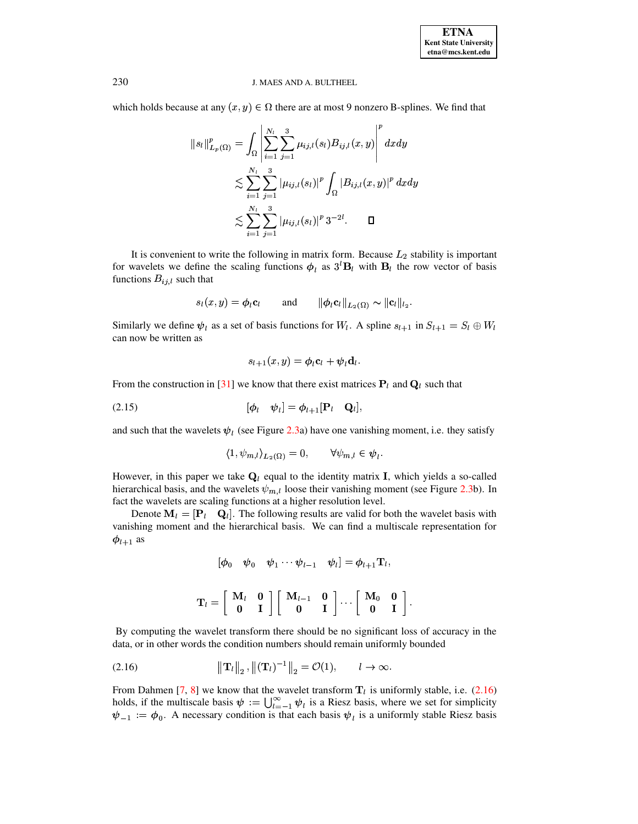**ETNA Kent State University** etna@mcs.kent.edu

#### J. MAES AND A. BULTHEEL

which holds because at any  $(x, y) \in \Omega$  there are at most 9 nonzero B-splines. We find that

$$
||s_{l}||_{L_{p}(\Omega)}^{p} = \int_{\Omega} \left| \sum_{i=1}^{N_{l}} \sum_{j=1}^{3} \mu_{ij,l}(s_{l}) B_{ij,l}(x, y) \right|^{p} dxdy
$$
  

$$
\lesssim \sum_{i=1}^{N_{l}} \sum_{j=1}^{3} |\mu_{ij,l}(s_{l})|^{p} \int_{\Omega} |B_{ij,l}(x, y)|^{p} dxdy
$$
  

$$
\lesssim \sum_{i=1}^{N_{l}} \sum_{j=1}^{3} |\mu_{ij,l}(s_{l})|^{p} 3^{-2l}. \qquad \Box
$$

It is convenient to write the following in matrix form. Because  $L_2$  stability is important for wavelets we define the scaling functions  $\phi_l$  as  $3^l$ **B**<sub>l</sub> with **B**<sub>l</sub> the row vector of basis functions  $B_{ij,l}$  such that

$$
s_l(x, y) = \phi_l \mathbf{c}_l \quad \text{and} \quad \|\phi_l \mathbf{c}_l\|_{L_2(\Omega)} \sim \|\mathbf{c}_l\|_{l_2}
$$

Similarly we define  $\psi_l$  as a set of basis functions for  $W_l$ . A spline  $s_{l+1}$  in  $S_{l+1} = S_l \oplus W_l$ can now be written as

<span id="page-6-1"></span>
$$
s_{l+1}(x,y) = \boldsymbol{\phi}_l \mathbf{c}_l + \boldsymbol{\psi}_l \mathbf{d}_l
$$

From the construction in [31] we know that there exist matrices  $P_l$  and  $Q_l$  such that

$$
[\boldsymbol{\phi}_l \quad \boldsymbol{\psi}_l] = \boldsymbol{\phi}_{l+1}[\mathbf{P}_l \quad \mathbf{Q}_l],
$$

and such that the wavelets  $\psi_l$  (see Figure 2.3a) have one vanishing moment, i.e. they satisfy

$$
\langle 1, \psi_{m,l} \rangle_{L_2(\Omega)} = 0, \qquad \forall \psi_{m,l} \in \psi_l.
$$

However, in this paper we take  $Q_l$  equal to the identity matrix I, which yields a so-called hierarchical basis, and the wavelets  $\psi_{m,l}$  loose their vanishing moment (see Figure 2.3b). In fact the wavelets are scaling functions at a higher resolution level.

Denote  $M_l = [\mathbf{P}_l \quad \mathbf{Q}_l]$ . The following results are valid for both the wavelet basis with vanishing moment and the hierarchical basis. We can find a multiscale representation for  $\phi_{l+1}$  as

<span id="page-6-0"></span>
$$
\begin{aligned} &[\boldsymbol{\phi}_0 \quad \boldsymbol{\psi}_0 \quad \boldsymbol{\psi}_1 \cdots \boldsymbol{\psi}_{l-1} \quad \boldsymbol{\psi}_l] = \boldsymbol{\phi}_{l+1} \mathbf{T}_l, \\[5pt] &\mathbf{T}_l = \left[ \begin{array}{cc} \mathbf{M}_l & \mathbf{0} \\ \mathbf{0} & \mathbf{I} \end{array} \right] \left[ \begin{array}{cc} \mathbf{M}_{l-1} & \mathbf{0} \\ \mathbf{0} & \mathbf{I} \end{array} \right] \cdots \left[ \begin{array}{cc} \mathbf{M}_0 & \mathbf{0} \\ \mathbf{0} & \mathbf{I} \end{array} \right] \end{aligned}
$$

By computing the wavelet transform there should be no significant loss of accuracy in the data, or in other words the condition numbers should remain uniformly bounded

(2.16) 
$$
\|\mathbf{T}_{l}\|_{2}, \left\|(\mathbf{T}_{l})^{-1}\right\|_{2} = \mathcal{O}(1), \quad l \to \infty.
$$

From Dahmen [7, 8] we know that the wavelet transform  $T_l$  is uniformly stable, i.e. (2.16) holds, if the multiscale basis  $\psi := \bigcup_{l=-1}^{\infty} \psi_l$  is a Riesz basis, where we set for simplicity  $\psi_{-1} := \phi_0$ . A necessary condition is that each basis  $\psi_i$  is a uniformly stable Riesz basis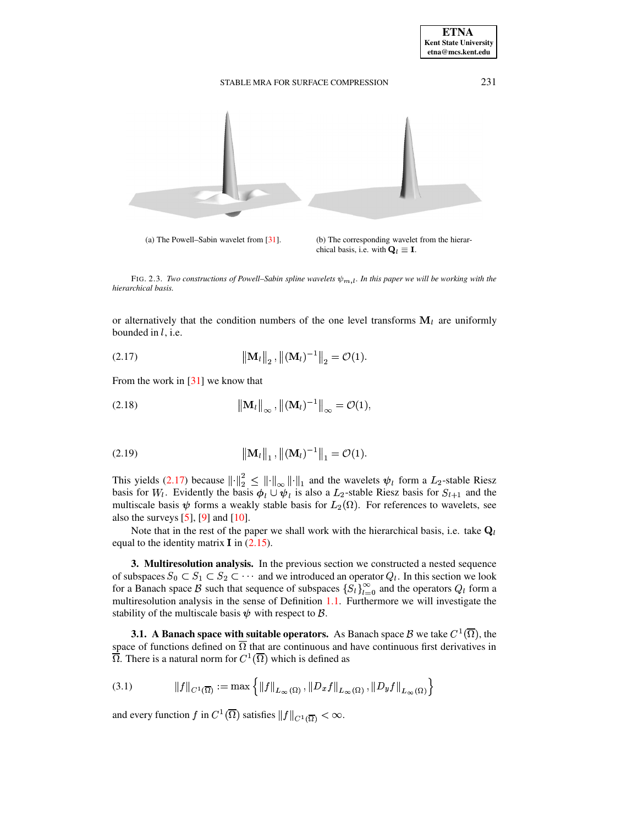

<span id="page-7-1"></span>FIG. 2.3. *Two constructions of Powell–Sabin spline wavelets*  $\psi_{m,l}$ *. In this paper we will be working with the hierarchical basis.*

<span id="page-7-2"></span>or alternatively that the condition numbers of the one level transforms  $M_l$  are uniformly bounded in  $l$ , i.e.

(2.17) 
$$
\|\mathbf{M}_{l}\|_{2}, \left\|(\mathbf{M}_{l})^{-1}\right\|_{2} = \mathcal{O}(1).
$$

From the work in [\[31\]](#page-34-2) we know that

(2.18) 
$$
\|\mathbf{M}_{l}\|_{\infty}, \|\mathbf{(M}_{l})^{-1}\|_{\infty} = \mathcal{O}(1),
$$

(2.19) 
$$
\|\mathbf{M}_{l}\|_{1}, \|\mathbf{(M}_{l})^{-1}\|_{1} = \mathcal{O}(1).
$$

This yields [\(2.17\)](#page-7-2) because  $\|\cdot\|^2 \le \|\cdot\|_{\infty} \|\cdot\|_1$  and the wavelets  $\psi_l$  form a  $L_2$ -stable Riesz basis for  $W_l$ . Evidently the basis  $\phi_l \cup \psi_l$  is also a  $L_2$ -stable Riesz basis for  $S_{l+1}$  and the multiscale basis  $\psi$  forms a weakly stable basis for  $L_2(\Omega)$ . For references to wavelets, see also the surveys  $[5]$ ,  $[9]$  and  $[10]$ .

Note that in the rest of the paper we shall work with the hierarchical basis, i.e. take  $Q_l$ equal to the identity matrix  $\bf{I}$  in [\(2.15\)](#page-6-1).

<span id="page-7-0"></span>**3. Multiresolution analysis.** In the previous section we constructed a nested sequence of subspaces  $S_0 \subset S_1 \subset S_2 \subset \cdots$  and we introduced an operator  $Q_l$ . In this section we look for a Banach space B such that sequence of subspaces  $\{S_t\}_{t=0}^{\infty}$  and the operators  $Q_t$  form a multiresolution analysis in the sense of Definition [1.1.](#page-0-0) Furthermore we will investigate the stability of the multiscale basis  $\psi$  with respect to  $\beta$ .

**3.1. A Banach space with suitable operators.** As Banach space  $\mathcal{B}$  we take  $C^1(\overline{\Omega})$ , the space of functions defined on  $\overline{\Omega}$  that are continuous and have continuous first derivatives in  $\overline{\Omega}$ . There is a natural norm for  $C^1(\overline{\Omega})$  which is defined as

$$
(3.1) \t\t\t ||f||_{C^{1}(\overline{\Omega})} := \max \left\{ ||f||_{L_{\infty}(\Omega)}, ||D_{x}f||_{L_{\infty}(\Omega)}, ||D_{y}f||_{L_{\infty}(\Omega)} \right\}
$$

and every function f in  $C^1(\overline{\Omega})$  satisfies  $||f||_{C^1(\overline{\Omega})}<\infty$ .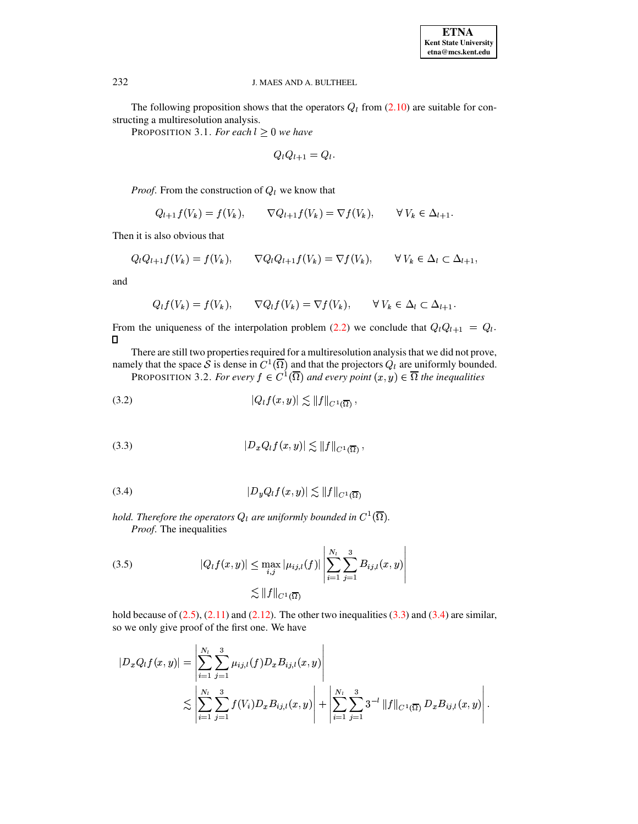The following proposition shows that the operators  $Q_l$  from (2.10) are suitable for constructing a multiresolution analysis.

PROPOSITION 3.1. For each  $l \geq 0$  we have

$$
Q_l Q_{l+1} = Q_l.
$$

*Proof.* From the construction of  $Q_l$  we know that

$$
Q_{l+1}f(V_k) = f(V_k), \qquad \nabla Q_{l+1}f(V_k) = \nabla f(V_k), \qquad \forall V_k \in \Delta_{l+1}.
$$

Then it is also obvious that

$$
Q_l Q_{l+1} f(V_k) = f(V_k), \qquad \nabla Q_l Q_{l+1} f(V_k) = \nabla f(V_k), \qquad \forall V_k \in \Delta_l \subset \Delta_{l+1},
$$

and

$$
Q_l f(V_k) = f(V_k), \qquad \nabla Q_l f(V_k) = \nabla f(V_k), \qquad \forall V_k \in \Delta_l \subset \Delta_{l+1}.
$$

From the uniqueness of the interpolation problem (2.2) we conclude that  $Q_l Q_{l+1} = Q_l$ .  $\Box$ 

<span id="page-8-2"></span>There are still two properties required for a multiresolution analysis that we did not prove, namely that the space  $S$  is dense in  $C^1(\overline{\Omega})$  and that the projectors  $Q_l$  are uniformly bounded.<br>PROPOSITION 3.2. For every  $f \in C^1(\overline{\Omega})$  and every point  $(x, y) \in \overline{\Omega}$  the inequalities

<span id="page-8-0"></span>
$$
(3.2) \t\t |Q_{l}f(x,y)| \lesssim ||f||_{C^{1}(\overline{\Omega})},
$$

<span id="page-8-1"></span>
$$
(3.3) \t\t\t |D_xQ_lf(x,y)| \lesssim ||f||_{C^1(\overline{\Omega})},
$$

$$
(3.4) \t |D_y Q_l f(x,y)| \lesssim ||f||_{C^1(\overline{\Omega})}
$$

hold. Therefore the operators  $Q_l$  are uniformly bounded in  $C^1(\overline{\Omega})$ . *Proof.* The inequalities

<span id="page-8-3"></span>(3.5) 
$$
|Q_{l}f(x,y)| \leq \max_{i,j} |\mu_{ij,l}(f)| \left| \sum_{i=1}^{N_{l}} \sum_{j=1}^{3} B_{ij,l}(x,y) \right|
$$

$$
\lesssim ||f||_{C^{1}(\overline{\Omega})}
$$

hold because of  $(2.5)$ ,  $(2.11)$  and  $(2.12)$ . The other two inequalities  $(3.3)$  and  $(3.4)$  are similar, so we only give proof of the first one. We have

$$
|D_x Q_l f(x, y)| = \left| \sum_{i=1}^{N_l} \sum_{j=1}^3 \mu_{ij,l}(f) D_x B_{ij,l}(x, y) \right|
$$
  

$$
\lesssim \left| \sum_{i=1}^{N_l} \sum_{j=1}^3 f(V_i) D_x B_{ij,l}(x, y) \right| + \left| \sum_{i=1}^{N_l} \sum_{j=1}^3 3^{-l} ||f||_{C^1(\overline{\Omega})} D_x B_{ij,l}(x, y) \right|
$$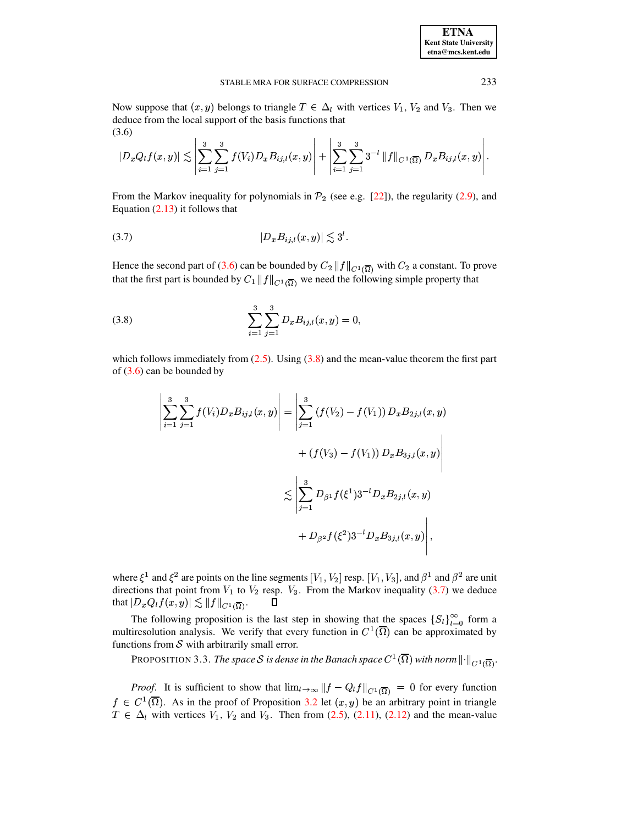#### <span id="page-9-1"></span><span id="page-9-0"></span>STABLE MRA FOR SURFACE COMPRESSION

Now suppose that  $(x, y)$  belongs to triangle  $T \in \Delta_l$  with vertices  $V_1$ ,  $V_2$  and  $V_3$ . Then we deduce from the local support of the basis functions that  $(3.6)$ 

$$
|D_x Q_l f(x,y)| \lesssim \left| \sum_{i=1}^3 \sum_{j=1}^3 f(V_i) D_x B_{ij,l}(x,y) \right| + \left| \sum_{i=1}^3 \sum_{j=1}^3 3^{-l} {\|f\|}_{C^1(\overline{\Omega})} D_x B_{ij,l}(x,y) \right|.
$$

<span id="page-9-2"></span>From the Markov inequality for polynomials in  $\mathcal{P}_2$  (see e.g. [22]), the regularity (2.9), and Equation  $(2.13)$  it follows that

$$
(3.7) \t\t\t |D_x B_{ij,l}(x,y)| \lesssim 3^l
$$

Hence the second part of (3.6) can be bounded by  $C_2 ||f||_{C^1(\overline{\Omega})}$  with  $C_2$  a constant. To prove that the first part is bounded by  $C_1 ||f||_{C^1(\overline{\Omega})}$  we need the following simple property that

(3.8) 
$$
\sum_{i=1}^{3} \sum_{j=1}^{3} D_x B_{ij,l}(x,y) = 0,
$$

which follows immediately from  $(2.5)$ . Using  $(3.8)$  and the mean-value theorem the first part of  $(3.6)$  can be bounded by

$$
\left| \sum_{i=1}^{3} \sum_{j=1}^{3} f(V_i) D_x B_{ij,l}(x,y) \right| = \left| \sum_{j=1}^{3} \left( f(V_2) - f(V_1) \right) D_x B_{2j,l}(x,y) + \left( f(V_3) - f(V_1) \right) D_x B_{3j,l}(x,y) \right|
$$
  

$$
\lesssim \left| \sum_{j=1}^{3} D_{\beta 1} f(\xi^1) 3^{-l} D_x B_{2j,l}(x,y) + D_{\beta 2} f(\xi^2) 3^{-l} D_x B_{3j,l}(x,y) \right|,
$$

where  $\xi^1$  and  $\xi^2$  are points on the line segments  $[V_1, V_2]$  resp.  $[V_1, V_3]$ , and  $\beta^1$  and  $\beta^2$  are unit directions that point from  $V_1$  to  $V_2$  resp.  $V_3$ . From the Markov inequality (3.7) we deduce that  $|D_x Q_t f(x, y)| \lesssim ||f||_{C^1(\overline{\Omega})}$ .  $\Box$ 

The following proposition is the last step in showing that the spaces  $\{S_l\}_{l=0}^{\infty}$  form a multiresolution analysis. We verify that every function in  $C^1(\overline{\Omega})$  can be approximated by functions from  $S$  with arbitrarily small error.

<span id="page-9-3"></span>**PROPOSITION 3.3.** The space S is dense in the Banach space  $C^1(\overline{\Omega})$  with norm  $\|\cdot\|_{C^1(\overline{\Omega})}$ .

*Proof.* It is sufficient to show that  $\lim_{l\to\infty} ||f - Q_l f||_{C^1(\overline{\Omega})} = 0$  for every function  $f \in C^1(\overline{\Omega})$ . As in the proof of Proposition 3.2 let  $(x, y)$  be an arbitrary point in triangle  $T \in \Delta_l$  with vertices  $V_1$ ,  $V_2$  and  $V_3$ . Then from (2.5), (2.11), (2.12) and the mean-value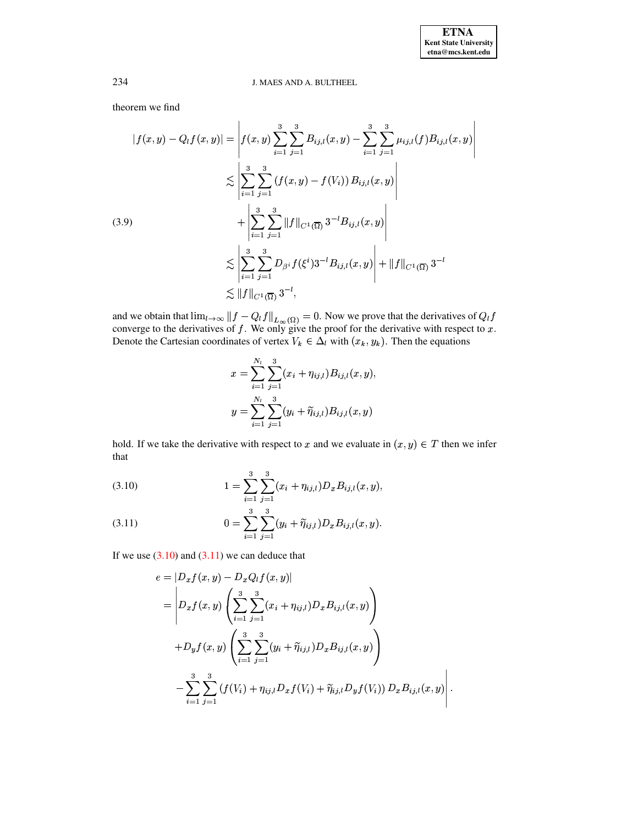theorem we find

<span id="page-10-1"></span>
$$
|f(x,y) - Q_l f(x,y)| = \left| f(x,y) \sum_{i=1}^{3} \sum_{j=1}^{3} B_{ij,l}(x,y) - \sum_{i=1}^{3} \sum_{j=1}^{3} \mu_{ij,l}(f) B_{ij,l}(x,y) \right|
$$
  

$$
\lesssim \left| \sum_{i=1}^{3} \sum_{j=1}^{3} (f(x,y) - f(V_i)) B_{ij,l}(x,y) \right|
$$
  
(3.9)  

$$
+ \left| \sum_{i=1}^{3} \sum_{j=1}^{3} ||f||_{C^{1}(\overline{\Omega})} 3^{-l} B_{ij,l}(x,y) \right|
$$
  

$$
\lesssim \left| \sum_{i=1}^{3} \sum_{j=1}^{3} D_{\beta^{i}} f(\xi^{i}) 3^{-l} B_{ij,l}(x,y) \right| + ||f||_{C^{1}(\overline{\Omega})} 3^{-l}
$$
  

$$
\lesssim ||f||_{C^{1}(\overline{\Omega})} 3^{-l},
$$

and we obtain that  $\lim_{l\to\infty} ||f - Q_l f||_{L_{\infty}(\Omega)} = 0$ . Now we prove that the derivatives of  $Q_l f$  converge to the derivatives of  $f$ . We only give the proof for the derivative with respect to  $x$ .<br>Denote the Cartesian coord

$$
x = \sum_{i=1}^{N_l} \sum_{j=1}^{3} (x_i + \eta_{ij,l}) B_{ij,l}(x, y),
$$
  

$$
y = \sum_{i=1}^{N_l} \sum_{j=1}^{3} (y_i + \tilde{\eta}_{ij,l}) B_{ij,l}(x, y)
$$

hold. If we take the derivative with respect to x and we evaluate in  $(x, y) \in T$  then we infer that

<span id="page-10-0"></span>(3.10) 
$$
1 = \sum_{i=1}^{3} \sum_{j=1}^{3} (x_i + \eta_{ij,l}) D_x B_{ij,l}(x, y),
$$

(3.11) 
$$
0 = \sum_{i=1}^{3} \sum_{j=1}^{3} (y_i + \widetilde{\eta}_{ij,l}) D_x B_{ij,l}(x, y).
$$

If we use  $(3.10)$  and  $(3.11)$  we can deduce that

$$
e = |D_x f(x, y) - D_x Q_l f(x, y)|
$$
  
= 
$$
|D_x f(x, y)| \left( \sum_{i=1}^3 \sum_{j=1}^3 (x_i + \eta_{ij,l}) D_x B_{ij,l}(x, y) \right)
$$
  
+ 
$$
D_y f(x, y) \left( \sum_{i=1}^3 \sum_{j=1}^3 (y_i + \widetilde{\eta}_{ij,l}) D_x B_{ij,l}(x, y) \right)
$$
  
- 
$$
\sum_{i=1}^3 \sum_{j=1}^3 (f(V_i) + \eta_{ij,l} D_x f(V_i) + \widetilde{\eta}_{ij,l} D_y f(V_i)) D_x B_{ij,l}(x, y) \right|.
$$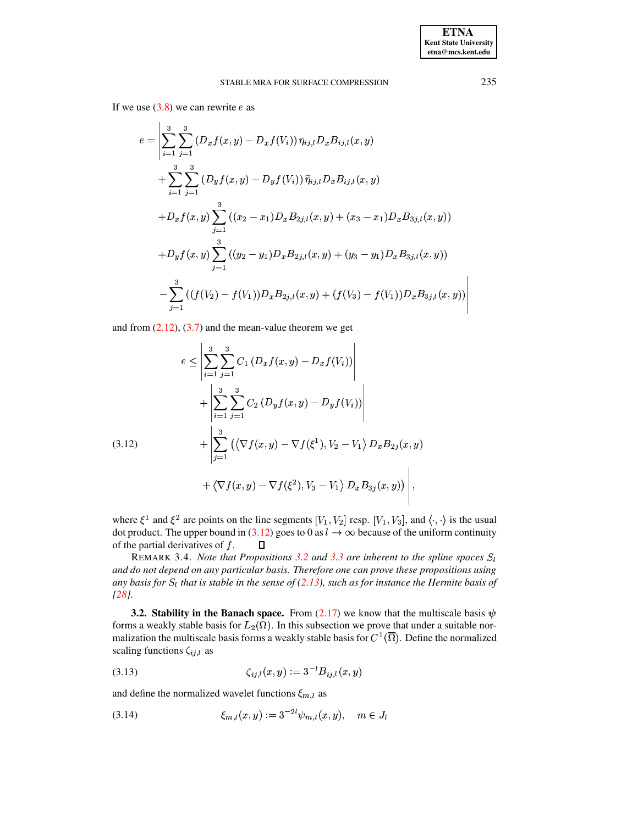If we use  $(3.8)$  we can rewrite e as

$$
e = \left| \sum_{i=1}^{3} \sum_{j=1}^{3} \left( D_x f(x, y) - D_x f(V_i) \right) \eta_{ij,l} D_x B_{ij,l}(x, y) + \sum_{i=1}^{3} \sum_{j=1}^{3} \left( D_y f(x, y) - D_y f(V_i) \right) \tilde{\eta}_{ij,l} D_x B_{ij,l}(x, y) + D_x f(x, y) \sum_{j=1}^{3} \left( (x_2 - x_1) D_x B_{2j,l}(x, y) + (x_3 - x_1) D_x B_{3j,l}(x, y) \right) + D_y f(x, y) \sum_{j=1}^{3} \left( (y_2 - y_1) D_x B_{2j,l}(x, y) + (y_3 - y_1) D_x B_{3j,l}(x, y) \right) - \sum_{j=1}^{3} \left( (f(V_2) - f(V_1)) D_x B_{2j,l}(x, y) + (f(V_3) - f(V_1)) D_x B_{3j,l}(x, y) \right) \right|
$$

and from  $(2.12)$ ,  $(3.7)$  and the mean-value theorem we get

<span id="page-11-0"></span>(3.12)  
\n
$$
e \leq \left| \sum_{i=1}^{3} \sum_{j=1}^{3} C_1 (D_x f(x, y) - D_x f(V_i)) \right|
$$
\n
$$
+ \left| \sum_{i=1}^{3} \sum_{j=1}^{3} C_2 (D_y f(x, y) - D_y f(V_i)) \right|
$$
\n
$$
+ \left| \sum_{j=1}^{3} \left( \left\langle \nabla f(x, y) - \nabla f(\xi^1), V_2 - V_1 \right\rangle D_x B_{2j}(x, y) \right| + \left\langle \nabla f(x, y) - \nabla f(\xi^2), V_3 - V_1 \right\rangle D_x B_{3j}(x, y) \right|,
$$

where  $\xi^1$  and  $\xi^2$  are points on the line segments  $[V_1, V_2]$  resp.  $[V_1, V_3]$ , and  $\langle \cdot, \cdot \rangle$  is the usual dot product. The upper bound in (3.12) goes to 0 as  $l \to \infty$  because of the uniform continuity of the partial derivatives of  $f$ .  $\Box$ 

<span id="page-11-2"></span>REMARK 3.4. Note that Propositions 3.2 and 3.3 are inherent to the spline spaces  $S_l$ and do not depend on any particular basis. Therefore one can prove these propositions using any basis for  $S_l$  that is stable in the sense of (2.13), such as for instance the Hermite basis of  $[28]$ .

3.2. Stability in the Banach space. From (2.17) we know that the multiscale basis  $\psi$ forms a weakly stable basis for  $L_2(\Omega)$ . In this subsection we prove that under a suitable normalization the multiscale basis forms a weakly stable basis for  $C^1(\overline{\Omega})$ . Define the normalized scaling functions  $\zeta_{ij,l}$  as

$$
(3.13) \qquad \zeta_{ij,l}(x,y) := 3^{-l} B_{ij,l}(x,y)
$$

<span id="page-11-1"></span>and define the normalized wavelet functions  $\xi_{m,l}$  as

$$
(3.14) \t\t\t\t\xi_{m,l}(x,y) := 3^{-2l} \psi_{m,l}(x,y), \t m \in J_l
$$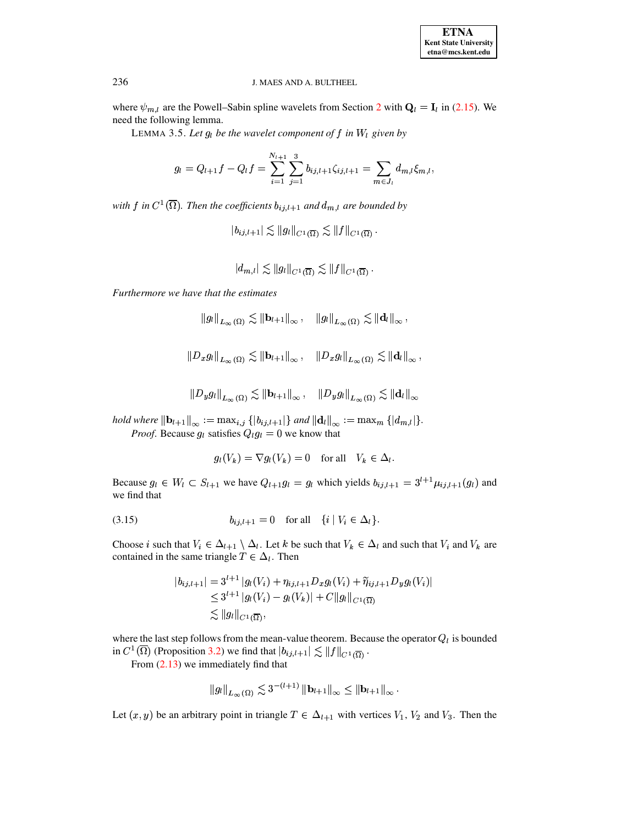<span id="page-12-1"></span>where  $\psi_{m,l}$  are the Powell–Sabin spline wavelets from Section 2 with  $\mathbf{Q}_l = \mathbf{I}_l$  in (2.15). We need the following lemma.

LEMMA 3.5. Let  $g_l$  be the wavelet component of f in  $W_l$  given by

$$
g_l = Q_{l+1}f - Q_lf = \sum_{i=1}^{N_{l+1}} \sum_{j=1}^3 b_{ij,l+1} \zeta_{ij,l+1} = \sum_{m \in J_l} d_{m,l} \xi_{m,l},
$$

with f in  $C^1(\overline{\Omega})$ . Then the coefficients  $b_{ij,l+1}$  and  $d_{m,l}$  are bounded by

 $|b_{ij,l+1}| \lesssim ||g_l||_{C^1(\overline{\Omega})} \lesssim ||f||_{C^1(\overline{\Omega})}.$ 

$$
|d_{m,l}| \lesssim \|g_l\|_{C^1(\overline{\Omega})} \lesssim \|f\|_{C^1(\overline{\Omega})}\,.
$$

Furthermore we have that the estimates

$$
\|g_l\|_{L_\infty(\Omega)} \lesssim \|\mathbf{b}_{l+1}\|_\infty \,, \quad \|g_l\|_{L_\infty(\Omega)} \lesssim \| \mathbf{d}_l \|_\infty \,,
$$

$$
\|D_x g_l\|_{L_\infty(\Omega)} \lesssim \| \mathbf{b}_{l+1}\|_\infty \,, \quad \|D_x g_l\|_{L_\infty(\Omega)} \lesssim \| \mathbf{d}_l\|_\infty \,,
$$

$$
||D_y g_l||_{L_{\infty}(\Omega)} \lesssim ||\mathbf{b}_{l+1}||_{\infty}, \quad ||D_y g_l||_{L_{\infty}(\Omega)} \lesssim ||\mathbf{d}_l||_{\infty}
$$

*hold where*  $\|\mathbf{b}_{l+1}\|_{\infty} := \max_{i,j} \{|b_{ij,l+1}|\}$  and  $\|\mathbf{d}_{l}\|_{\infty} := \max_{m} \{|d_{m,l}|\}.$ *Proof.* Because  $g_l$  satisfies  $Q_l g_l = 0$  we know that

$$
g_l(V_k) = \nabla g_l(V_k) = 0
$$
 for all  $V_k \in \Delta_l$ .

<span id="page-12-0"></span>Because  $g_l \in W_l \subset S_{l+1}$  we have  $Q_{l+1}g_l = g_l$  which yields  $b_{ij,l+1} = 3^{l+1}\mu_{ij,l+1}(g_l)$  and we find that

(3.15) 
$$
b_{ij,l+1} = 0 \text{ for all } \{i \mid V_i \in \Delta_l\}.
$$

Choose *i* such that  $V_i \in \Delta_{l+1} \setminus \Delta_l$ . Let *k* be such that  $V_k \in \Delta_l$  and such that  $V_i$  and  $V_k$  are contained in the same triangle  $T \in \Delta_l$ . Then

$$
|b_{ij,l+1}| = 3^{l+1} |g_l(V_i) + \eta_{ij,l+1} D_x g_l(V_i) + \widetilde{\eta}_{ij,l+1} D_y g_l(V_i)|
$$
  
\n
$$
\leq 3^{l+1} |g_l(V_i) - g_l(V_k)| + C ||g_l||_{C^1(\overline{\Omega})}
$$
  
\n
$$
\lesssim ||g_l||_{C^1(\overline{\Omega})},
$$

where the last step follows from the mean-value theorem. Because the operator  $Q_l$  is bounded in  $C^1(\overline{\Omega})$  (Proposition 3.2) we find that  $|b_{ij,l+1}| \lesssim ||f||_{C^1(\overline{\Omega})}$ .

From  $(2.13)$  we immediately find that

$$
\left\|g_l\right\|_{L_{\infty}(\Omega)} \lesssim 3^{-(l+1)} \left\|\mathbf{b}_{l+1}\right\|_{\infty} \le \left\|\mathbf{b}_{l+1}\right\|_{\infty}
$$

Let  $(x, y)$  be an arbitrary point in triangle  $T \in \Delta_{l+1}$  with vertices  $V_1$ ,  $V_2$  and  $V_3$ . Then the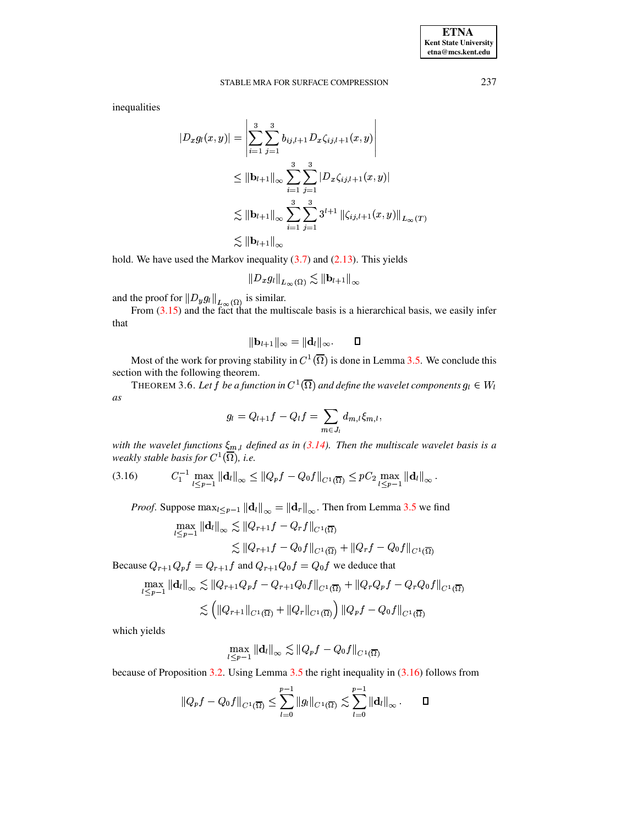inequalities

$$
|D_x g_l(x, y)| = \left| \sum_{i=1}^3 \sum_{j=1}^3 b_{ij, l+1} D_x \zeta_{ij, l+1}(x, y) \right|
$$
  
\n
$$
\leq ||\mathbf{b}_{l+1}||_{\infty} \sum_{i=1}^3 \sum_{j=1}^3 |D_x \zeta_{ij, l+1}(x, y)|
$$
  
\n
$$
\lesssim ||\mathbf{b}_{l+1}||_{\infty} \sum_{i=1}^3 \sum_{j=1}^3 3^{l+1} ||\zeta_{ij, l+1}(x, y)||_{L_{\infty}(T)}
$$
  
\n
$$
\lesssim ||\mathbf{b}_{l+1}||_{\infty}
$$

hold. We have used the Markov inequality  $(3.7)$  and  $(2.13)$ . This yields

$$
||D_x g_l||_{L_{\infty}(\Omega)} \lesssim ||\mathbf{b}_{l+1}||_{\infty}
$$

and the proof for  $||D_y g_l||_{L_\infty(\Omega)}$  is similar.<br>From (3.15) and the fact that the multiscale basis is a hierarchical basis, we easily infer that

$$
\|\mathbf{b}_{l+1}\|_{\infty}=\|\mathbf{d}_{l}\|_{\infty}.\qquad \blacksquare
$$

Most of the work for proving stability in  $C^1(\overline{\Omega})$  is done in Lemma 3.5. We conclude this section with the following theorem.

THEOREM 3.6. Let f be a function in  $C^1(\overline{\Omega})$  and define the wavelet components  $g_l \in W_l$ as

<span id="page-13-0"></span>
$$
g_l = Q_{l+1}f - Q_lf = \sum_{m \in J_l} d_{m,l} \xi_{m,l}
$$

with the wavelet functions  $\xi_{m,l}$  defined as in (3.14). Then the multiscale wavelet basis is a weakly stable basis for  $C^1(\overline{\Omega})$ , i.e.

$$
(3.16) \tC_1^{-1} \max_{l \leq p-1} ||\mathbf{d}_l||_{\infty} \leq ||Q_p f - Q_0 f||_{C^1(\overline{\Omega})} \leq pC_2 \max_{l \leq p-1} ||\mathbf{d}_l||_{\infty}
$$

*Proof.* Suppose  $\max_{l \leq p-1} ||\mathbf{d}_l||_{\infty} = ||\mathbf{d}_r||_{\infty}$ . Then from Lemma 3.5 we find

$$
\max_{l\leq p-1} \|\mathbf{d}_l\|_{\infty} \lesssim \|Q_{r+1}f - Q_rf\|_{C^1(\overline{\Omega})}
$$
  

$$
\lesssim \|Q_{r+1}f - Q_0f\|_{C^1(\overline{\Omega})} + \|Q_rf - Q_0f\|_{C^1(\overline{\Omega})}
$$

Because  $Q_{r+1}Q_p f = Q_{r+1}f$  and  $Q_{r+1}Q_0 f = Q_0f$  we deduce that

$$
\max_{l \leq p-1} ||\mathbf{d}_l||_{\infty} \lesssim ||Q_{r+1}Q_p f - Q_{r+1}Q_0 f||_{C^1(\overline{\Omega})} + ||Q_r Q_p f - Q_r Q_0 f||_{C^1(\overline{\Omega})}
$$
  

$$
\lesssim (||Q_{r+1}||_{C^1(\overline{\Omega})} + ||Q_r||_{C^1(\overline{\Omega})}) ||Q_p f - Q_0 f||_{C^1(\overline{\Omega})}
$$

which yields

$$
\max_{l\leq p-1} \left\|\mathbf{d}_l\right\|_\infty\lesssim \left\|Q_p f-Q_0 f\right\|_{C^1(\overline{\Omega})}
$$

because of Proposition 3.2. Using Lemma 3.5 the right inequality in  $(3.16)$  follows from

$$
\|Q_p f - Q_0 f\|_{C^1(\overline{\Omega})} \leq \sum_{l=0}^{p-1} \|g_l\|_{C^1(\overline{\Omega})} \lesssim \sum_{l=0}^{p-1} \|\mathbf{d}_l\|_{\infty} . \qquad \Box
$$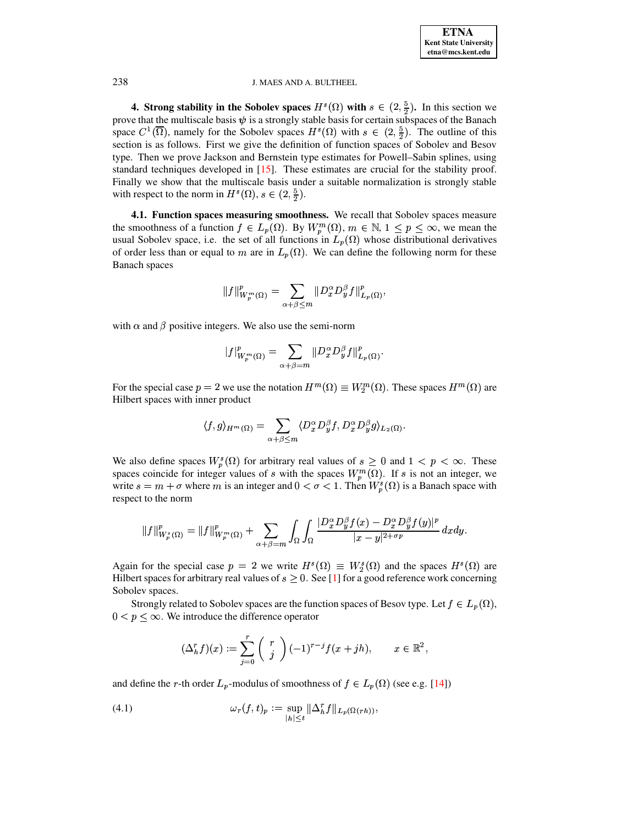

<span id="page-14-0"></span>4. Strong stability in the Sobolev spaces  $H^s(\Omega)$  with  $s \in (2, \frac{5}{2})$ . In this section we prove that the multiscale basis  $\psi$  is a strongly stable basis for certain subspaces of the Banach space  $C^1(\overline{\Omega})$ , namely for the Sobolev spaces  $H^s(\Omega)$  with  $s \in (2, \frac{5}{2})$ . The outline of this section is as follows. First we give the definition of function spaces of Sobolev and Besov type. Then we prove Jackson and Bernstein type estimates for Powell–Sabin splines, using standard techniques developed in  $[15]$ . These estimates are crucial for the stability proof. Finally we show that the multiscale basis under a suitable normalization is strongly stable with respect to the norm in  $H^s(\Omega)$ ,  $s \in (2, \frac{5}{2})$ .

<span id="page-14-1"></span>4.1. Function spaces measuring smoothness. We recall that Sobolev spaces measure the smoothness of a function  $f \in L_p(\Omega)$ . By  $W_p^m(\Omega)$ ,  $m \in \mathbb{N}$ ,  $1 \le p \le \infty$ , we mean the usual Sobolev space, i.e. the set of all functions in  $L_p(\Omega)$  whose distributional derivatives of order less than or equal to m are in  $L_p(\Omega)$ . We can define the following norm for these Banach spaces

$$
\|f\|^p_{W^m_p(\Omega)}=\sum_{\alpha+\beta\leq m}\|D^\alpha_xD^\beta_yf\|^p_{L_p(\Omega)},
$$

with  $\alpha$  and  $\beta$  positive integers. We also use the semi-norm

$$
|f|_{W_p^m(\Omega)}^p = \sum_{\alpha+\beta=m} \|D_x^{\alpha} D_y^{\beta} f\|_{L_p(\Omega)}^p
$$

For the special case  $p = 2$  we use the notation  $H^m(\Omega) \equiv W_2^m(\Omega)$ . These spaces  $H^m(\Omega)$  are Hilbert spaces with inner product

$$
\langle f, g \rangle_{H^m(\Omega)} = \sum_{\alpha + \beta \leq m} \langle D_x^{\alpha} D_y^{\beta} f, D_x^{\alpha} D_y^{\beta} g \rangle_{L_2(\Omega)}
$$

We also define spaces  $W_p^s(\Omega)$  for arbitrary real values of  $s \geq 0$  and  $1 < p < \infty$ . These spaces coincide for integer values of s with the spaces  $W_p^m(\Omega)$ . If s is not an integer, we write  $s = m + \sigma$  where m is an integer and  $0 < \sigma < 1$ . Then  $W_p^s(\Omega)$  is a Banach space with respect to the norm

$$
||f||_{W_p^s(\Omega)}^p = ||f||_{W_p^m(\Omega)}^p + \sum_{\alpha+\beta=m} \int_{\Omega} \int_{\Omega} \frac{|D_x^{\alpha}D_y^{\beta}f(x) - D_x^{\alpha}D_y^{\beta}f(y)|^p}{|x-y|^{2+\sigma p}} dxdy.
$$

Again for the special case  $p = 2$  we write  $H^s(\Omega) \equiv W_2^s(\Omega)$  and the spaces  $H^s(\Omega)$  are Hilbert spaces for arbitrary real values of  $s \geq 0$ . See [1] for a good reference work concerning Sobolev spaces.

Strongly related to Sobolev spaces are the function spaces of Besov type. Let  $f \in L_p(\Omega)$ ,  $0 < p \leq \infty$ . We introduce the difference operator

$$
(\Delta_h^r f)(x) := \sum_{j=0}^r \binom{r}{j} (-1)^{r-j} f(x+jh), \qquad x \in \mathbb{R}^2,
$$

and define the *r*-th order  $L_p$ -modulus of smoothness of  $f \in L_p(\Omega)$  (see e.g. [14])

(4.1) 
$$
\omega_r(f,t)_p := \sup_{|h| \le t} \|\Delta_h^r f\|_{L_p(\Omega(rh))},
$$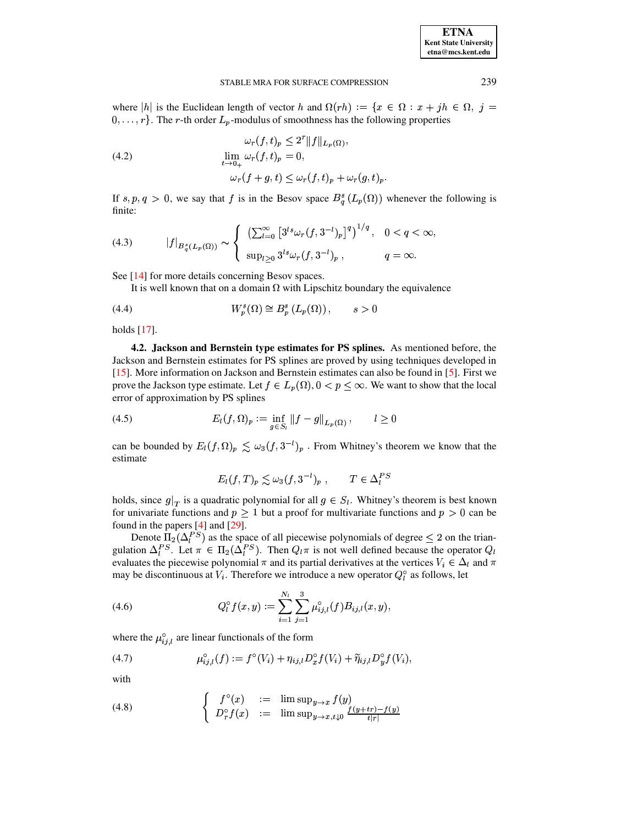| <b>ETNA</b>                  |  |  |
|------------------------------|--|--|
| <b>Kent State University</b> |  |  |
| etna@mcs.kent.edu            |  |  |

#### STABLE MRA FOR SURFACE COMPRESSION

where |h| is the Euclidean length of vector h and  $\Omega(rh) := \{x \in \Omega : x + jh \in \Omega, j =$  $0, \ldots, r$ . The *r*-th order  $L_p$ -modulus of smoothness has the following properties

<span id="page-15-2"></span>(4.2) 
$$
\omega_r(f, t)_p \le 2^r \|f\|_{L_p(\Omega)},
$$

$$
\lim_{t \to 0_+} \omega_r(f, t)_p = 0,
$$

$$
\omega_r(f + g, t) \le \omega_r(f, t)_p + \omega_r(g, t)_p
$$

<span id="page-15-4"></span>If s, p, q > 0, we say that f is in the Besov space  $B_q^s(L_p(\Omega))$  whenever the following is finite:

(4.3) 
$$
|f|_{B_q^s(L_p(\Omega))} \sim \begin{cases} \left(\sum_{l=0}^{\infty} \left[3^{ls}\omega_r(f, 3^{-l})_p\right]^q\right)^{1/q}, & 0 < q < \infty, \\ \sup_{l \geq 0} 3^{ls}\omega_r(f, 3^{-l})_p, & q = \infty. \end{cases}
$$

See [14] for more details concerning Besov spaces.

It is well known that on a domain  $\Omega$  with Lipschitz boundary the equivalence

$$
(4.4) \t\t W_p^s(\Omega) \cong B_p^s\left(L_p(\Omega)\right), \t s > 0
$$

holds  $[17]$ .

4.2. Jackson and Bernstein type estimates for PS splines. As mentioned before, the Jackson and Bernstein estimates for PS splines are proved by using techniques developed in [15]. More information on Jackson and Bernstein estimates can also be found in [5]. First we prove the Jackson type estimate. Let  $f \in L_p(\Omega)$ ,  $0 < p \leq \infty$ . We want to show that the local error of approximation by PS splines

(4.5) 
$$
E_l(f, \Omega)_p := \inf_{g \in S_l} ||f - g||_{L_p(\Omega)}, \qquad l \geq 0
$$

can be bounded by  $E_l(f, \Omega)_p \leq \omega_3(f, 3^{-l})_p$ . From Whitney's theorem we know that the estimate

<span id="page-15-3"></span><span id="page-15-0"></span>
$$
E_l(f,T)_p \lesssim \omega_3(f,3^{-l})_p , \qquad T \in \Delta_l^{PS}
$$

holds, since  $g|_{T}$  is a quadratic polynomial for all  $g \in S_l$ . Whitney's theorem is best known for univariate functions and  $p \ge 1$  but a proof for multivariate functions and  $p > 0$  can be found in the papers  $[4]$  and  $[29]$ .

Denote  $\Pi_2(\Delta_l^{PS})$  as the space of all piecewise polynomials of degree  $\leq 2$  on the triangulation  $\Delta_l^{PS}$ . Let  $\pi \in \Pi_2(\Delta_l^{PS})$ . Then  $Q_l \pi$  is not well defined because the operator  $Q_l$ evaluates the piecewise polynomial  $\pi$  and its partial derivatives at the vertices  $V_i \in \Delta_l$  and  $\pi$ may be discontinuous at  $V_i$ . Therefore we introduce a new operator  $Q_i^{\circ}$  as follows, let

(4.6) 
$$
Q_l^{\circ} f(x,y) := \sum_{i=1}^{N_l} \sum_{j=1}^3 \mu_{ij,l}^{\circ} (f) B_{ij,l}(x,y),
$$

where the  $\mu_{i,j,l}^{\circ}$  are linear functionals of the form

(4.7) 
$$
\mu_{ij,l}^{\circ}(f) := f^{\circ}(V_i) + \eta_{ij,l} D_x^{\circ} f(V_i) + \widetilde{\eta}_{ij,l} D_y^{\circ} f(V_i),
$$

<span id="page-15-1"></span>with

(4.8) 
$$
\begin{cases} f^{\circ}(x) := \limsup_{y \to x} f(y) \\ D_r^{\circ} f(x) := \limsup_{y \to x, t \downarrow 0} \frac{f(y + t r) - f(y)}{t|r|} \end{cases}
$$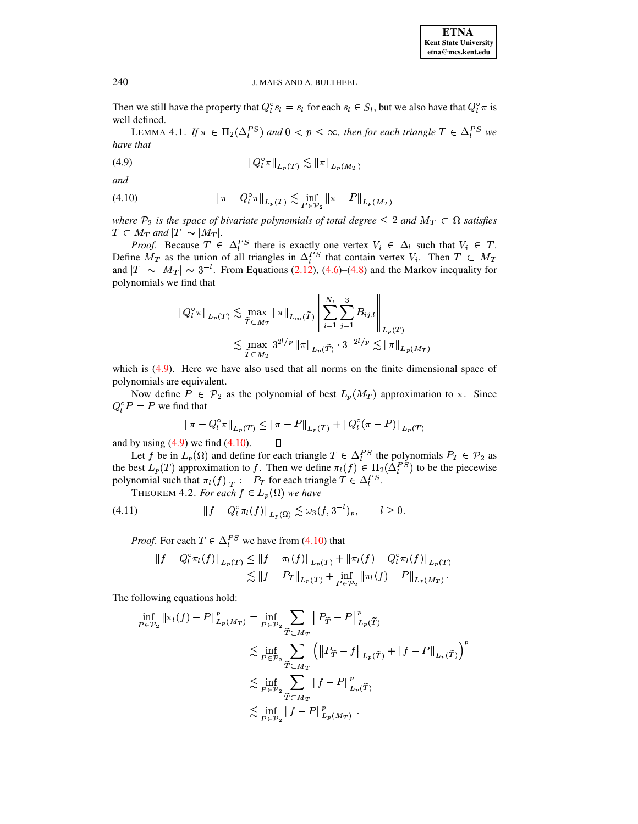Then we still have the property that  $Q_l^{\circ} s_l = s_l$  for each  $s_l \in S_l$ , but we also have that  $Q_l^{\circ} \pi$  is well defined.

<span id="page-16-0"></span>LEMMA 4.1. If  $\pi \in \Pi_2(\Delta_l^{PS})$  and  $0 < p \leq \infty$ , then for each triangle  $T \in \Delta_l^{PS}$  we have that

(4.9) 
$$
\|Q_l^\circ \pi\|_{L_p(T)} \lesssim \|\pi\|_{L_p(M_T)}
$$

<span id="page-16-1"></span>and

(4.10) 
$$
\|\pi - Q_l^{\circ}\pi\|_{L_p(T)} \lesssim \inf_{P \in \mathcal{P}_2} \|\pi - P\|_{L_p(M_T)}
$$

where  $\mathcal{P}_2$  is the space of bivariate polynomials of total degree  $\leq 2$  and  $M_T \subset \Omega$  satisfies  $T \subset M_T$  and  $|T| \sim |M_T|$ .

*Proof.* Because  $T \in \Delta_l^{PS}$  there is exactly one vertex  $V_i \in \Delta_l$  such that  $V_i \in T$ .<br>Define  $M_T$  as the union of all triangles in  $\Delta_l^{PS}$  that contain vertex  $V_i$ . Then  $T \subset M_T$ and  $|T| \sim |M_T| \sim 3^{-l}$ . From Equations (2.12), (4.6)–(4.8) and the Markov inequality for polynomials we find that

$$
\|Q_{l}^{\circ}\pi\|_{L_{p}(T)} \lesssim \max_{\tilde{T}\subset M_{T}} \|\pi\|_{L_{\infty}(\tilde{T})} \left\|\sum_{i=1}^{N_{l}}\sum_{j=1}^{3} B_{ij,l}\right\|_{L_{p}(T)}
$$
  

$$
\lesssim \max_{\tilde{T}\subset M_{T}} 3^{2l/p} \|\pi\|_{L_{p}(\tilde{T})} \cdot 3^{-2l/p} \lesssim \|\pi\|_{L_{p}(M_{T})}
$$

which is  $(4.9)$ . Here we have also used that all norms on the finite dimensional space of polynomials are equivalent.

Now define  $P \in \mathcal{P}_2$  as the polynomial of best  $L_p(M_T)$  approximation to  $\pi$ . Since  $Q_l^{\circ} P = P$  we find that

$$
\|\pi - Q_l^{\circ}\pi\|_{L_p(T)} \le \|\pi - P\|_{L_p(T)} + \|Q_l^{\circ}(\pi - P)\|_{L_p(T)}
$$

<span id="page-16-3"></span><span id="page-16-2"></span> $\Box$ 

and by using  $(4.9)$  we find  $(4.10)$ .

Let f be in  $L_p(\Omega)$  and define for each triangle  $T \in \Delta_l^{PS}$  the polynomials  $P_T \in \mathcal{P}_2$  as the best  $L_p(T)$  approximation to f. Then we define  $\pi_l(f) \in \Pi_2(\Delta_l^{PS})$  to be the piecewise polynomial such that  $\pi_l(f)|_T := P_T$  for each triangle  $T \in \Delta_l^{PS}$ .

THEOREM 4.2. For each  $f \in L_p(\Omega)$  we have

(4.11) 
$$
||f - Q_l^{\circ} \pi_l(f)||_{L_p(\Omega)} \lesssim \omega_3(f, 3^{-l})_p, \qquad l \geq 0
$$

*Proof.* For each  $T \in \Delta_l^{PS}$  we have from (4.10) that

$$
||f - Q_l^{\circ} \pi_l(f)||_{L_p(T)} \le ||f - \pi_l(f)||_{L_p(T)} + ||\pi_l(f) - Q_l^{\circ} \pi_l(f)||_{L_p(T)}
$$
  

$$
\lesssim ||f - P_T||_{L_p(T)} + \inf_{P \in \mathcal{P}_2} ||\pi_l(f) - P||_{L_p(M_T)}.
$$

The following equations hold:

$$
\inf_{P \in \mathcal{P}_2} \|\pi_l(f) - P\|_{L_p(M_T)}^p = \inf_{P \in \mathcal{P}_2} \sum_{\tilde{T} \subset M_T} \|P_{\tilde{T}} - P\|_{L_p(\tilde{T})}^p
$$
  

$$
\lesssim \inf_{P \in \mathcal{P}_2} \sum_{\tilde{T} \subset M_T} \left( \|P_{\tilde{T}} - f\|_{L_p(\tilde{T})} + \|f - P\|_{L_p(\tilde{T})} \right)^p
$$
  

$$
\lesssim \inf_{P \in \mathcal{P}_2} \sum_{\tilde{T} \subset M_T} \|f - P\|_{L_p(\tilde{T})}^p
$$
  

$$
\lesssim \inf_{P \in \mathcal{P}_2} \|f - P\|_{L_p(M_T)}^p.
$$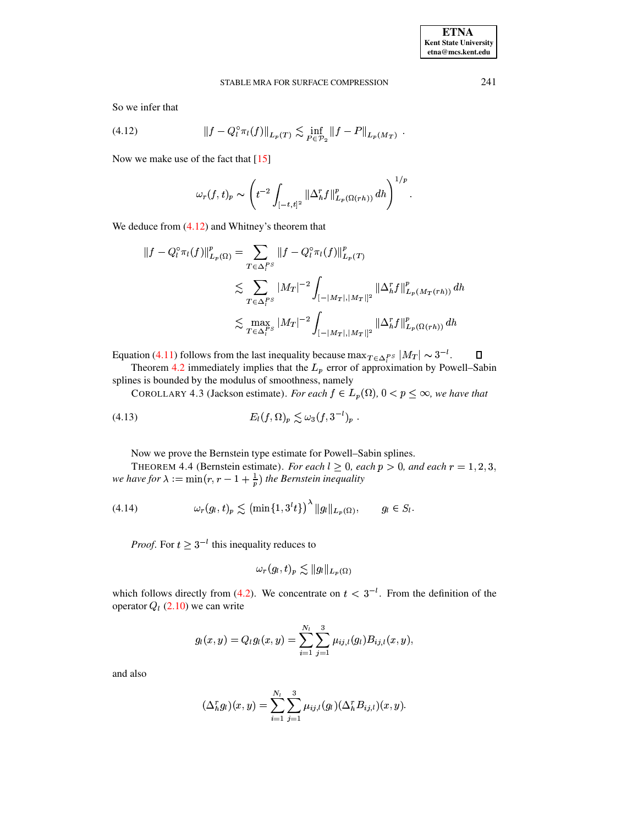<span id="page-17-0"></span>So we infer that

(4.12) 
$$
||f - Q_l^{\circ} \pi_l(f)||_{L_p(T)} \lesssim \inf_{P \in \mathcal{P}_2} ||f - P||_{L_p(M_T)}.
$$

Now we make use of the fact that  $[15]$ 

$$
\omega_r(f,t)_p \sim \left( t^{-2} \int_{[-t,t]^2} \|\Delta_h^r f\|_{L_p(\Omega(rh))}^p dh \right)^{1/p}.
$$

We deduce from  $(4.12)$  and Whitney's theorem that

$$
\begin{aligned} ||f - Q_l^\circ \pi_l(f)||^p_{L_p(\Omega)} &= \sum_{T \in \Delta_l^{PS}} ||f - Q_l^\circ \pi_l(f)||^p_{L_p(T)} \\ &\lesssim \sum_{T \in \Delta_l^{PS}} |M_T|^{-2} \int_{[-|M_T|, |M_T|]^2} ||\Delta_h^r f||^p_{L_p(M_T(rh))} dh \\ &\lesssim \max_{T \in \Delta_l^{PS}} |M_T|^{-2} \int_{[-|M_T|, |M_T|]^2} ||\Delta_h^r f||^p_{L_p(\Omega(rh))} dh \end{aligned}
$$

Equation (4.11) follows from the last inequality because  $\max_{T \in \Delta_t^{PS}} |M_T| \sim 3^{-l}$ .  $\Box$ 

Theorem 4.2 immediately implies that the  $L_p$  error of approximation by Powell–Sabin splines is bounded by the modulus of smoothness, namely

<span id="page-17-3"></span>COROLLARY 4.3 (Jackson estimate). For each  $f \in L_p(\Omega)$ ,  $0 < p \le \infty$ , we have that

$$
(4.13) \t\t\t E_l(f, \Omega)_p \lesssim \omega_3(f, 3^{-l})_p
$$

Now we prove the Bernstein type estimate for Powell-Sabin splines.

THEOREM 4.4 (Bernstein estimate). For each  $l \ge 0$ , each  $p > 0$ , and each  $r = 1, 2, 3$ , we have for  $\lambda := \min(r, r - 1 + \frac{1}{p})$  the Bernstein inequality

*Proof.* For  $t \geq 3^{-l}$  this inequality reduces to

<span id="page-17-2"></span><span id="page-17-1"></span>
$$
\omega_r(g_l, t)_p \lesssim \|g_l\|_{L_p(\Omega)}
$$

which follows directly from (4.2). We concentrate on  $t < 3^{-l}$ . From the definition of the operator  $Q_l$  (2.10) we can write

$$
g_l(x,y) = Q_l g_l(x,y) = \sum_{i=1}^{N_l} \sum_{j=1}^3 \mu_{ij,l}(g_l) B_{ij,l}(x,y),
$$

and also

$$
(\Delta_h^r g_l)(x,y) = \sum_{i=1}^{N_l} \sum_{j=1}^3 \mu_{ij,l}(g_l)(\Delta_h^r B_{ij,l})(x,y).
$$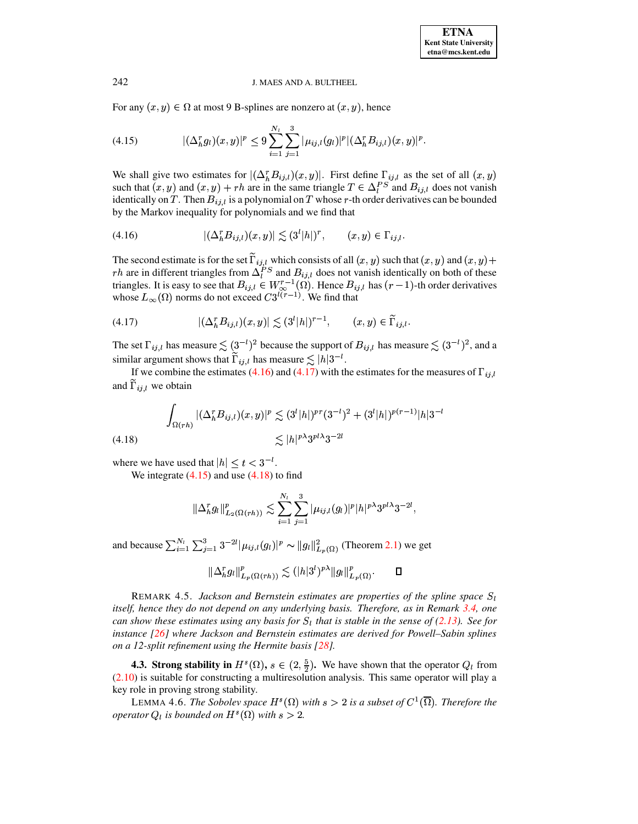<span id="page-18-2"></span>For any  $(x, y) \in \Omega$  at most 9 B-splines are nonzero at  $(x, y)$ , hence

(4.15) 
$$
|(\Delta_h^r g_l)(x,y)|^p \leq 9 \sum_{i=1}^{N_l} \sum_{j=1}^3 |\mu_{ij,l}(g_l)|^p |(\Delta_h^r B_{ij,l})(x,y)|^p.
$$

We shall give two estimates for  $|(\Delta_h^r B_{ij,l})(x, y)|$ . First define  $\Gamma_{ij,l}$  as the set of all  $(x, y)$ such that  $(x, y)$  and  $(x, y) + rh$  are in the same triangle  $T \in \Delta_I^{PS}$  and  $B_{ij,l}$  does not vanish such that  $(x, y)$  and  $(x, y) + rh$  are in the same triangle  $T \in \Delta_l^{PS}$  and  $B_{ij,l}$  does not vanish identically on  $T$ . Then  $B_{ij,l}$  is a polynomial on  $T$  whose  $r$ -th order derivatives can be bounded by the Markov inequality for polynomials and we find that

<span id="page-18-0"></span>(4.16) 
$$
|(\Delta_h^r B_{ij,l})(x,y)| \lesssim (3^l |h|)^r, \qquad (x,y) \in \Gamma_{ij,l}.
$$

The second estimate is for the set  $\Gamma_{i j, l}$  which consists of all  $(x, y)$  such that  $(x, y)$  and  $(x, y)$  + *rh* are in different triangles from  $\Delta_l^{PS}$  and  $B_{ij,l}$  does not van triangles. It is easy to see that  $B_{ij,l} \in W_{\infty}^{r-1}(\Omega)$ . Hence  $B_{ij,l}$  $i, l$  does not vanish identically on both of these triangles. It is easy to see that  $B_{i,j,l} \in W^{r-1}_{\infty}(\Omega)$ <sup>õ</sup>  $i_l \in W^{r-1}_{\infty}(\Omega)$ . Hence  $B_{i_l}$  h  $\chi^{r-1}(\Omega)$ . Hence  $B_{i,j,l}$  has  $(r-1)$ -t  $j$ , has  $(r-1)$ -th order derivatives whose  $L_{\infty}(\Omega)$  norms do not exceed  $C3^{l(r-1)}$ . We find that

<span id="page-18-1"></span>
$$
(4.17) \qquad \qquad |(\Delta_h^r B_{ij,l})(x,y)| \lesssim (3^l|h|)^{r-1}, \qquad (x,y) \in \widetilde{\Gamma}_{ij,l}.
$$

The set  $\Gamma_{i,j,l}$  has measure  $\lesssim (3^{-l})^2$  because the support of  $B_{i,j,l}$  has measure  $\lesssim (3^{-l})^2$ , and a similar argument shows that  $\Gamma_{ij,l}$  has measure  $\lesssim |h|3^{-l}$ .

If we combine the estimates [\(4.16\)](#page-18-0) and [\(4.17\)](#page-18-1) with the estimates for the measures of  $\Gamma_{ij,l}$ and  $\Gamma_{ij,l}$  we obtain

<span id="page-18-3"></span>
$$
\int_{\Omega(rh)} |(\Delta_h^r B_{ij,l})(x,y)|^p \lesssim (3^l|h|)^{pr} (3^{-l})^2 + (3^l|h|)^{p(r-1)}|h|3^{-l}
$$
\n
$$
\lesssim |h|^{p\lambda} 3^{pl\lambda} 3^{-2l}
$$
\n(4.18)

where we have used that  $|h| \leq t < 3^{-l}$ .

We integrate  $(4.15)$  and use  $(4.18)$  to find

$$
\|\Delta_h^r g_l\|_{L_2(\Omega(rh))}^p \lesssim \sum_{i=1}^{N_l} \sum_{j=1}^3 |\mu_{ij,l}(g_l)|^p |h|^{p\lambda} 3^{pl\lambda} 3^{-2l},
$$

and because  $\sum_{i=1}^{N_l} \sum_{j=1}^3 3^{-2l} |\mu_{ij,l}(g_l)|^p \sim ||g_l||^2_{L_p(\Omega)}$  (Theorem [2.1\)](#page-5-1) we get

$$
\|\Delta_h^r g_l\|_{L_p(\Omega(rh))}^p \lesssim (|h|3^l)^{p\lambda} \|g_l\|_{L_p(\Omega)}^p. \qquad \Box
$$

REMARK 4.5. *Jackson and Bernstein estimates are properties of the spline space*  $S_l$ *itself, hence they do not depend on any underlying basis. Therefore, as in Remark [3.4,](#page-11-2) one* can show these estimates using any basis for  $S_l$  that is stable in the sense of [\(2.13\)](#page-5-0). See for *instance [\[26\]](#page-34-18) where Jackson and Bernstein estimates are derived for Powell–Sabin splines on a 12-split refinement using the Hermite basis [\[28\]](#page-34-4).*

**4.3. Strong stability in**  $H^s(\Omega)$ ,  $s \in (2, \frac{5}{2})$ . We have shown that the operator  $Q_l$  from ) [\(2.10\)](#page-4-3) is suitable for constructing a multiresolution analysis. This same operator will play a key role in proving strong stability.

LEMMA 4.6. *The Sobolev space*  $H^s(\Omega)$  with  $s > 2$  is a subset of  $C^1(\Omega)$ . *Therefore the operator*  $Q_l$  *is bounded on*  $H^s(\Omega)$  *with*  $s > 2$ .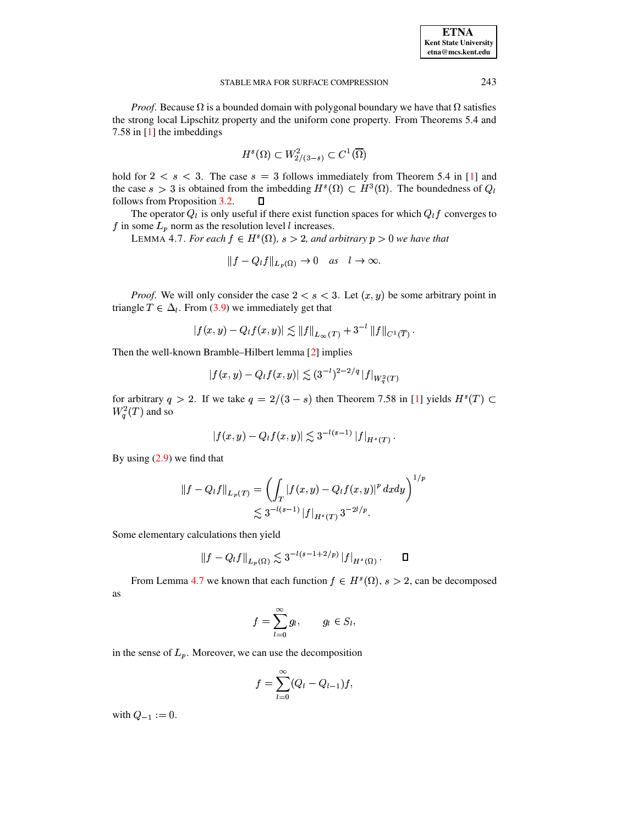*Proof.* Because  $\Omega$  is a bounded domain with polygonal boundary we have that  $\Omega$  satisfies the strong local Lipschitz property and the uniform cone property. From Theorems 5.4 and 7.58 in  $[1]$  the imbeddings

$$
H^s(\Omega) \subset W^2_{2/(3-s)} \subset C^1(\overline{\Omega})
$$

hold for  $2 < s < 3$ . The case  $s = 3$  follows immediately from Theorem 5.4 in [1] and the case  $s > 3$  is obtained from the imbedding  $H^s(\Omega) \subset H^3(\Omega)$ . The boundedness of  $Q_l$ follows from Proposition 3.2.  $\Box$ 

<span id="page-19-0"></span>The operator  $Q_l$  is only useful if there exist function spaces for which  $Q_l f$  converges to f in some  $L_p$  norm as the resolution level l increases.

LEMMA 4.7. For each  $f \in H^s(\Omega)$ ,  $s > 2$ , and arbitrary  $p > 0$  we have that

$$
|f - Q_l f||_{L_p(\Omega)} \to 0 \quad \text{as} \quad l \to \infty.
$$

*Proof.* We will only consider the case  $2 < s < 3$ . Let  $(x, y)$  be some arbitrary point in triangle  $T \in \Delta_l$ . From (3.9) we immediately get that

$$
|f(x,y)-Q_{l}f(x,y)| \lesssim ||f||_{L_{\infty}(T)} + 3^{-l} ||f||_{C^{1}(\overline{T})}.
$$

Then the well-known Bramble–Hilbert lemma [2] implies

$$
|f(x,y) - Q_l f(x,y)| \lesssim (3^{-l})^{2-2/q} |f|_{W_q^2(T)}
$$

for arbitrary  $q > 2$ . If we take  $q = 2/(3 - s)$  then Theorem 7.58 in [1] yields  $H<sup>s</sup>(T) \subset$  $W_a^2(T)$  and so

$$
|f(x,y)-Q_{l}f(x,y)|\lesssim 3^{-l(s-1)}|f|_{H^{s}(T)}.
$$

By using  $(2.9)$  we find that

$$
||f - Q_l f||_{L_p(T)} = \left( \int_T |f(x, y) - Q_l f(x, y)|^p dx dy \right)^{1/p}
$$
  
\$\leq 3^{-l(s-1)} |f|\_{H^s(T)}\$^{2^{-2l/p}.

Some elementary calculations then yield

$$
||f - Q_l f||_{L_p(\Omega)} \lesssim 3^{-l(s-1+2/p)} ||f||_{H^s(\Omega)}.
$$

From Lemma 4.7 we known that each function  $f \in H^s(\Omega)$ ,  $s > 2$ , can be decomposed as

$$
f=\sum_{l=0}^{\infty}g_l,\qquad g_l\in S_l,
$$

in the sense of  $L_p$ . Moreover, we can use the decomposition

$$
f=\sum_{l=0}^{\infty}(Q_l-Q_{l-1})f,
$$

with  $Q_{-1} := 0$ .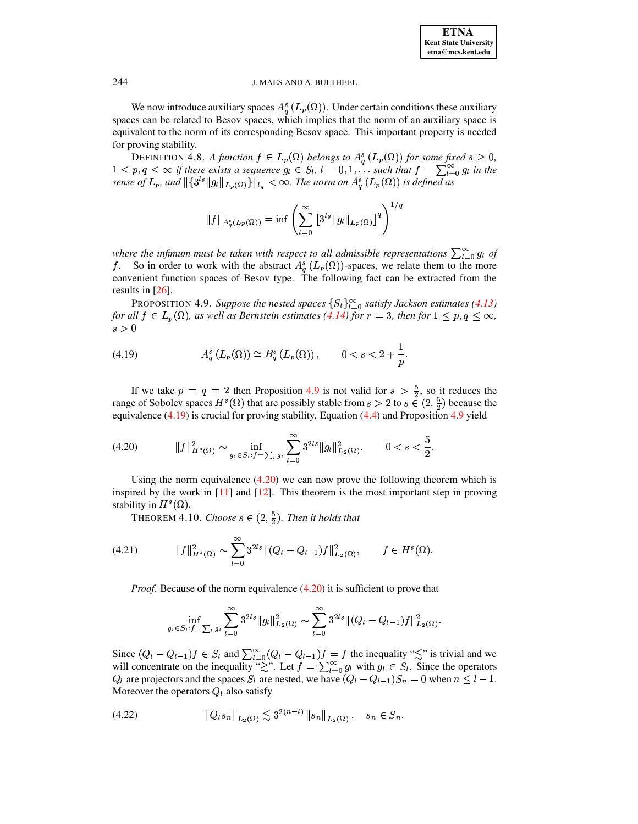We now introduce auxiliary spaces  $A_{a}^{s}(L_{p}(\Omega))$ . Under certain conditions these auxiliary spaces can be related to Besov spaces, which implies that the norm of an auxiliary space is equivalent to the norm of its corresponding Besov space. This important property is needed for proving stability.

DEFINITION 4.8. A function  $f \in L_p(\Omega)$  belongs to  $A_q^s(L_p(\Omega))$  for some fixed  $s \geq 0$ ,  $1 \leq p, q \leq \infty$  if there exists a sequence  $g_l \in S_l$ ,  $l = 0, 1, \ldots$  such that  $f = \sum_{l=0}^{\infty} g_l$  in the sense of  $L_p$ , and  $\|\{3^{ls}\|g_l\|_{L_p(\Omega)}\}\|_{l_q}<\infty$ . The norm on  $A_q^s(L_p(\Omega))$  is defined as

<span id="page-20-2"></span>
$$
||f||_{A_q^s(L_p(\Omega))} = \inf \left( \sum_{l=0}^{\infty} \left[ 3^{ls} ||g_l||_{L_p(\Omega)} \right]^q \right)^{1/s}
$$

where the infimum must be taken with respect to all admissible representations  $\sum_{l=0}^{\infty} g_l$  of f. So in order to work with the abstract  $A_n^s$  ( $L_n(\Omega)$ )-spaces, we relate them to the more convenient function spaces of Besov type. The following fact can be extracted from the results in  $[26]$ .

<span id="page-20-1"></span><span id="page-20-0"></span>PROPOSITION 4.9. Suppose the nested spaces  $\{S_l\}_{l=0}^{\infty}$  satisfy Jackson estimates (4.13) for all  $f \in L_p(\Omega)$ , as well as Bernstein estimates (4.14) for  $r = 3$ , then for  $1 \le p, q \le \infty$ ,  $s > 0$ 

(4.19) 
$$
A_q^s(L_p(\Omega)) \cong B_q^s(L_p(\Omega)), \qquad 0 < s < 2 + \frac{1}{p}.
$$

If we take  $p = q = 2$  then Proposition 4.9 is not valid for  $s > \frac{5}{2}$ , so it reduces the range of Sobolev spaces  $H^s(\Omega)$  that are possibly stable from  $s > 2$  to  $s \in (2, \frac{5}{2})$  because the equivalence  $(4.19)$  is crucial for proving stability. Equation  $(4.4)$  and Proposition 4.9 yield

$$
(4.20) \t\t\t ||f||_{H^s(\Omega)}^2 \sim \inf_{g_l \in S_l: f = \sum_l g_l} \sum_{l=0}^{\infty} 3^{2ls} ||g_l||_{L_2(\Omega)}^2, \t 0 < s < \frac{5}{2}
$$

Using the norm equivalence  $(4.20)$  we can now prove the following theorem which is inspired by the work in  $[11]$  and  $[12]$ . This theorem is the most important step in proving stability in  $H^s(\Omega)$ .

<span id="page-20-4"></span>THEOREM 4.10. Choose  $s \in (2, \frac{5}{2})$ . Then it holds that

(4.21) 
$$
||f||_{H^s(\Omega)}^2 \sim \sum_{l=0}^{\infty} 3^{2ls} ||(Q_l - Q_{l-1})f||_{L_2(\Omega)}^2, \qquad f \in H^s(\Omega).
$$

*Proof.* Because of the norm equivalence  $(4.20)$  it is sufficient to prove that

<span id="page-20-3"></span>
$$
\inf_{g_l \in S_l: f = \sum_l g_l} \sum_{l=0}^{\infty} 3^{2ls} \|g_l\|_{L_2(\Omega)}^2 \sim \sum_{l=0}^{\infty} 3^{2ls} \|(Q_l - Q_{l-1})f\|_{L_2(\Omega)}^2.
$$

Since  $(Q_l - Q_{l-1})f \in S_l$  and  $\sum_{l=0}^{\infty} (Q_l - Q_{l-1})f = f$  the inequality " $\lesssim$ " is trivial and we will concentrate on the inequality " $\gtrsim$ ". Let  $f = \sum_{l=0}^{\infty} g_l$  with  $g_l \in S_l$ . Since the operators  $Q_l$  are projectors a Moreover the operators  $Q_l$  also satisfy

$$
(4.22) \t\t ||Q_l s_n||_{L_2(\Omega)} \lesssim 3^{2(n-l)} ||s_n||_{L_2(\Omega)}, \t s_n \in S_n.
$$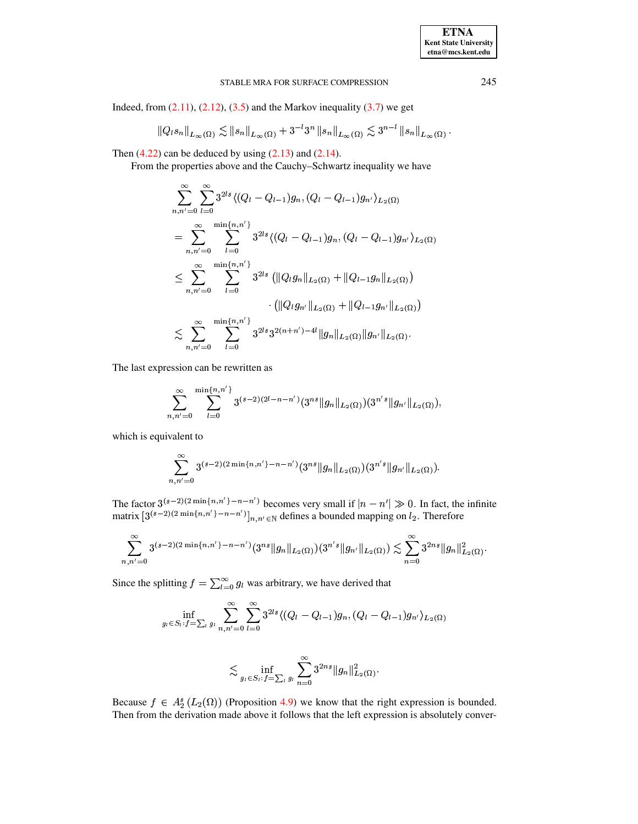### STABLE MRA FOR SURFACE COMPRESSION

Indeed, from  $(2.11)$ ,  $(2.12)$ ,  $(3.5)$  and the Markov inequality  $(3.7)$  we get

$$
||Q_{l}s_{n}||_{L_{\infty}(\Omega)} \lesssim ||s_{n}||_{L_{\infty}(\Omega)} + 3^{-l}3^{n} ||s_{n}||_{L_{\infty}(\Omega)} \lesssim 3^{n-l} ||s_{n}||_{L_{\infty}(\Omega)}.
$$

Then  $(4.22)$  can be deduced by using  $(2.13)$  and  $(2.14)$ .

From the properties above and the Cauchy-Schwartz inequality we have

$$
\sum_{n,n'=0}^{\infty} \sum_{l=0}^{\infty} 3^{2ls} \langle (Q_l - Q_{l-1})g_n, (Q_l - Q_{l-1})g_{n'} \rangle_{L_2(\Omega)}
$$
\n
$$
= \sum_{n,n'=0}^{\infty} \sum_{l=0}^{\min\{n,n'\}} 3^{2ls} \langle (Q_l - Q_{l-1})g_n, (Q_l - Q_{l-1})g_{n'} \rangle_{L_2(\Omega)}
$$
\n
$$
\leq \sum_{n,n'=0}^{\infty} \sum_{l=0}^{\min\{n,n'\}} 3^{2ls} \left( ||Q_l g_n ||_{L_2(\Omega)} + ||Q_{l-1} g_n ||_{L_2(\Omega)} \right)
$$
\n
$$
\leq \sum_{n,n'=0}^{\infty} \sum_{l=0}^{\min\{n,n'\}} 3^{2ls} 3^{2(n+n')-4l} ||g_n ||_{L_2(\Omega)} ||g_{n'} ||_{L_2(\Omega)}.
$$

The last expression can be rewritten as

$$
\sum_{n,n'=0}^{\infty}\sum_{l=0}^{\min\{n,n'\}}3^{(s-2)(2l-n-n')}(3^{ns}\|g_n\|_{L_2(\Omega)})(3^{n's}\|g_{n'}\|_{L_2(\Omega)}),
$$

which is equivalent to

$$
\sum^{\infty}_{n,n'=0}3^{(s-2)(2\min\{n,n'\}-n-n')}(3^{ns}\|g_n\|_{L_2(\Omega)})(3^{n's}\|g_{n'}\|_{L_2(\Omega)}).
$$

The factor  $3^{(s-2)(2 \min\{n,n'\}-n-n')}$  becomes very small if  $|n - n'| \gg 0$ . In fact, the infinite matrix  $[3^{(s-2)(2 \min\{n,n'\}-n-n')}]_{n,n' \in \mathbb{N}}$  defines a bounded mapping on  $l_2$ . Therefore

$$
\sum_{n,n'=0}^{\infty} 3^{(s-2)(2\min\{n,n'\}-n-n')}(3^{ns}\|g_n\|_{L_2(\Omega)})(3^{n's}\|g_{n'}\|_{L_2(\Omega)}) \lesssim \sum_{n=0}^{\infty} 3^{2ns}\|g_n\|_{L_2(\Omega)}^2.
$$

Since the splitting  $f = \sum_{l=0}^{\infty} g_l$  was arbitrary, we have derived that

$$
\inf_{g_l \in S_l: f = \sum_l g_l} \sum_{n,n'=0}^{\infty} \sum_{l=0}^{\infty} 3^{2ls} \langle (Q_l - Q_{l-1})g_n, (Q_l - Q_{l-1})g_{n'} \rangle_{L_2(\Omega)}
$$

$$
\lesssim \inf_{g_I \in S_l: f = \sum_l g_I} \sum_{n=0}^{\infty} 3^{2ns} \|g_n\|_{L_2(\Omega)}^2.
$$

Because  $f \in A_2^s(L_2(\Omega))$  (Proposition 4.9) we know that the right expression is bounded. Then from the derivation made above it follows that the left expression is absolutely conver-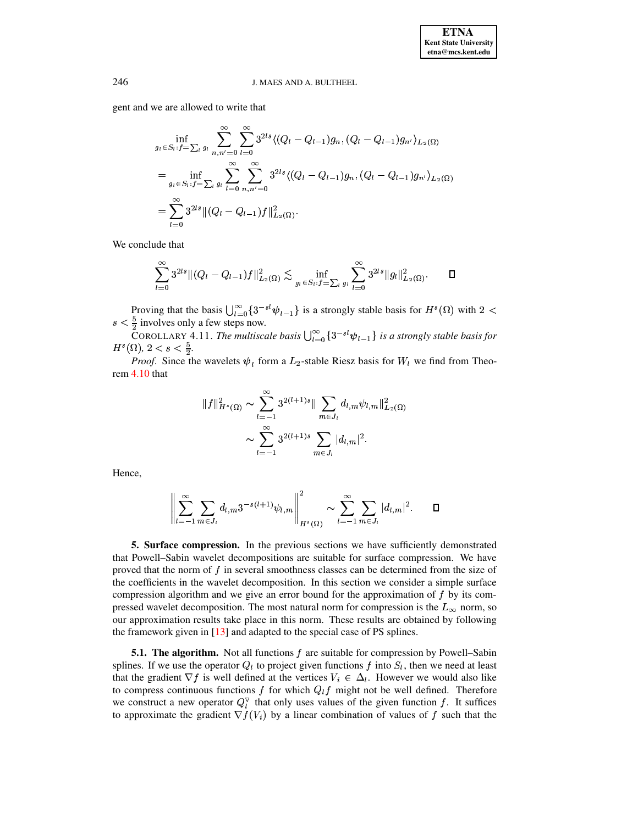gent and we are allowed to write that

$$
\inf_{g_l \in S_l: f = \sum_l g_l} \sum_{n,n'=0}^{\infty} \sum_{l=0}^{\infty} 3^{2ls} \langle (Q_l - Q_{l-1})g_n, (Q_l - Q_{l-1})g_{n'} \rangle_{L_2(\Omega)}
$$
\n
$$
= \inf_{g_l \in S_l: f = \sum_l g_l} \sum_{l=0}^{\infty} \sum_{n,n'=0}^{\infty} 3^{2ls} \langle (Q_l - Q_{l-1})g_n, (Q_l - Q_{l-1})g_{n'} \rangle_{L_2(\Omega)}
$$
\n
$$
= \sum_{l=0}^{\infty} 3^{2ls} \|(Q_l - Q_{l-1})f\|_{L_2(\Omega)}^2.
$$

We conclude that

$$
\sum_{l=0}^{\infty} 3^{2ls} \|(Q_l - Q_{l-1})f\|_{L_2(\Omega)}^2 \lesssim \inf_{g_l \in S_l: f = \sum_l g_l} \sum_{l=0}^{\infty} 3^{2ls} \|g_l\|_{L_2(\Omega)}^2.
$$

Proving that the basis  $\bigcup_{l=0}^{\infty} \{3^{-sl}\psi_{l-1}\}\$ is Proving that the basis  $\bigcup_{l=0}^{\infty} \{3^{-sl}\psi_{l-1}\}\$  is a strongly stable basis for  $H^s(\Omega)$  with  $2 < s < \frac{5}{2}$  involves only a few steps now.

COROLLARY 4.11. *The multiscale basis*  $\bigcup_{l=0}^{\infty} \{3^{-sl}\psi_{l-1}\}\$  *is a strongly stable basis for*  $H^s(\Omega)$ ,  $2 < s < \frac{5}{2}$ .

*Proof.* Since the wavelets  $\psi_l$  form a  $L_2$ -stable Riesz basis for  $W_l$  we find from Theorem [4.10](#page-20-4) that

$$
||f||_{H^{s}(\Omega)}^{2} \sim \sum_{l=-1}^{\infty} 3^{2(l+1)s} \|\sum_{m \in J_{l}} d_{l,m} \psi_{l,m}\|_{L_{2}(\Omega)}^{2}
$$

$$
\sim \sum_{l=-1}^{\infty} 3^{2(l+1)s} \sum_{m \in J_{l}} |d_{l,m}|^{2}.
$$

Hence,

$$
\left\|\sum_{l=-1}^{\infty}\sum_{m\in J_{l}}d_{l,m}3^{-s(l+1)}\psi_{l,m}\right\|^{2}_{H^{s}(\Omega)}\sim \sum_{l=-1}^{\infty}\sum_{m\in J_{l}}|d_{l,m}|^{2}.\quad \ \ \Box
$$

<span id="page-22-0"></span>**5. Surface compression.** In the previous sections we have sufficiently demonstrated that Powell–Sabin wavelet decompositions are suitable for surface compression. We have proved that the norm of  $f$  in several smoothness classes can be determined from the size of the coefficients in the wavelet decomposition. In this section we consider a simple surface compression algorithm and we give an error bound for the approximation of  $f$  by its compressed wavelet decomposition. The most natural norm for compression is the  $L_{\infty}$  norm, so our approximation results take place in this norm. These results are obtained by following the framework given in [\[13\]](#page-34-0) and adapted to the special case of PS splines.

**5.1. The algorithm.** Not all functions f are suitable for compression by Powell–Sabin splines. If we use the operator  $Q_l$  to project given functions f into  $S_l$ , then we need at least that the gradient  $\nabla f$  is well defined at the vertices  $V_i \in \Delta_l$ . However we would also like to compress continuous functions  $f$  for which  $Q_l f$  might not be well defined. Therefore we construct a new operator  $Q_l^{\nabla}$  that only uses values of the given function f. It suffices to approximate the gradient  $\nabla f(V_i)$  by a linear combination of values of f such that the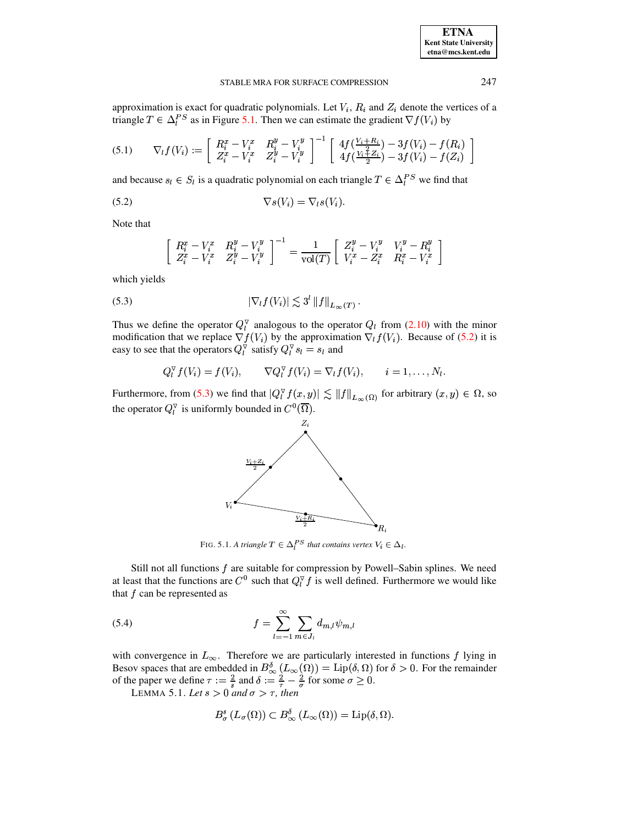<span id="page-23-1"></span>

| <b>ETNA</b>                  |
|------------------------------|
| <b>Kent State University</b> |
| etna@mcs.kent.edu            |

#### STABLE MRA FOR SURFACE COMPRESSION

approximation is exact for quadratic polynomials. Let  $V_i$ ,  $R_i$  and  $Z_i$  denote the vertices of a triangle  $T \in \Delta_l^{PS}$  as in Figure 5.1. Then we can estimate the gradient  $\nabla f(V_i)$  by

$$
(5.1) \qquad \nabla_l f(V_i) := \left[ \begin{array}{cc} R_i^x - V_i^x & R_i^y - V_i^y \\ Z_i^x - V_i^x & Z_i^y - V_i^y \end{array} \right]^{-1} \left[ \begin{array}{c} 4f(\frac{V_i + R_i}{2}) - 3f(V_i) - f(R_i) \\ 4f(\frac{V_i + Z_i}{2}) - 3f(V_i) - f(Z_i) \end{array} \right]
$$

and because  $s_l \in S_l$  is a quadratic polynomial on each triangle  $T \in \Delta_l^{PS}$  we find that

$$
\nabla s(V_i) = \nabla_l s(V_i)
$$

Note that

$$
\begin{bmatrix} R_i^x - V_i^x & R_i^y - V_i^y \ Z_i^x - V_i^x & Z_i^y - V_i^y \end{bmatrix}^{-1} = \frac{1}{\text{vol}(T)} \begin{bmatrix} Z_i^y - V_i^y & V_i^y - R_i^y \ V_i^x - Z_i^x & R_i^x - V_i^x \end{bmatrix}
$$

<span id="page-23-2"></span>which yields

$$
(5.3) \t\t |\nabla_l f(V_i)| \lesssim 3^l \|f\|_{L_\infty(T)}
$$

Thus we define the operator  $Q_l^{\nabla}$  analogous to the operator  $Q_l$  from (2.10) with the minor modification that we replace  $\nabla f(V_i)$  by the approximation  $\nabla_i f(V_i)$ . Because of (5.2) it is easy to see that the operators  $Q_l^{\nabla}$  satisfy  $Q_l^{\nabla} s_l = s_l$  and

$$
Q_l^{\nabla} f(V_i) = f(V_i), \qquad \nabla Q_l^{\nabla} f(V_i) = \nabla_l f(V_i), \qquad i = 1, \ldots, N_l.
$$

Furthermore, from (5.3) we find that  $|Q_l^{\nabla} f(x, y)| \lesssim ||f||_{L_{\infty}(\Omega)}$  for arbitrary  $(x, y) \in \Omega$ , so the operator  $Q_l^{\nabla}$  is uniformly bounded in  $C^0(\overline{\Omega})$ .



<span id="page-23-0"></span>FIG. 5.1. A triangle  $T \in \Delta_l^{PS}$  that contains vertex  $V_i \in \Delta_l$ .

<span id="page-23-4"></span>Still not all functions  $f$  are suitable for compression by Powell–Sabin splines. We need at least that the functions are  $C^0$  such that  $Q_l^{\nabla} f$  is well defined. Furthermore we would like that  $f$  can be represented as

(5.4) 
$$
f = \sum_{l=-1}^{\infty} \sum_{m \in J_l} d_{m,l} \psi_{m,l}
$$

with convergence in  $L_{\infty}$ . Therefore we are particularly interested in functions f lying in Besov spaces that are embedded in  $B_{\infty}^{\delta}$   $(L_{\infty}(\Omega)) = \text{Lip}(\delta, \Omega)$  for  $\delta > 0$ . For the remainder of the paper we define  $\tau := \frac{2}{s}$  and  $\delta := \frac{2}{\tau} - \frac{2}{\sigma}$  for some  $\sigma \ge 0$ .<br>LEMMA 5.1. Let  $s > 0$  and  $\sigma > \tau$ , t

<span id="page-23-3"></span>
$$
B^s_\sigma(L_\sigma(\Omega)) \subset B^o_\infty(L_\infty(\Omega)) = \text{Lip}(\delta, \Omega).
$$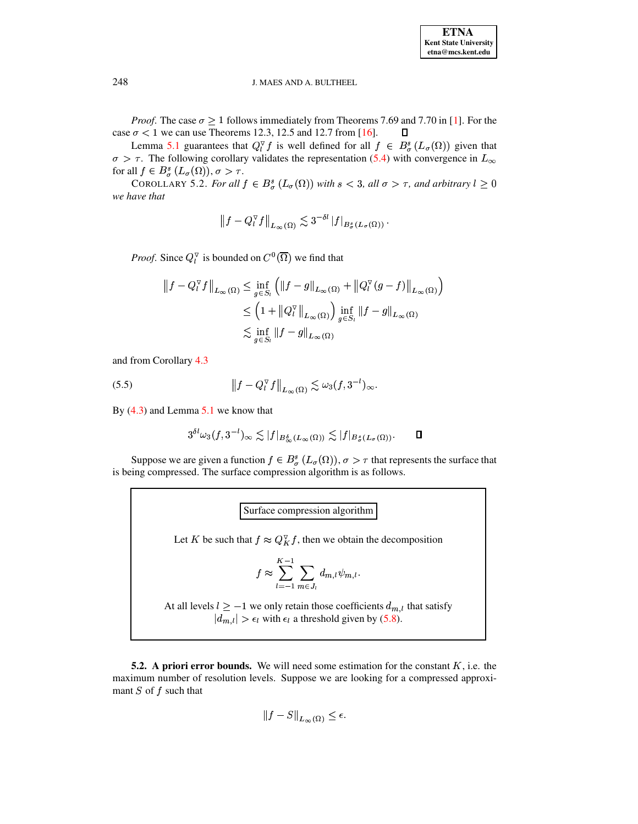*Proof.* The case  $\sigma \ge 1$  follows immediately from Theorems 7.69 and 7.70 in [1]. For the case  $\sigma$  < 1 we can use Theorems 12.3, 12.5 and 12.7 from [16].  $\Box$ 

Lemma 5.1 guarantees that  $Q_l^{\nabla} f$  is well defined for all  $f \in B_{\sigma}^{s}(L_{\sigma}(\Omega))$  given that  $\sigma > \tau$ . The following corollary validates the representation (5.4) with convergence in  $L_{\infty}$ for all  $f \in B^s_\sigma(L_\sigma(\Omega)), \sigma > \tau$ .

<span id="page-24-0"></span>COROLLARY 5.2. For all  $f \in B^s_\sigma(L_\sigma(\Omega))$  with  $s < 3$ , all  $\sigma > \tau$ , and arbitrary  $l \geq 0$ we have that

$$
\left\|f - Q_l^{\triangledown} f\right\|_{L_{\infty}(\Omega)} \lesssim 3^{-\delta l} |f|_{B^s_{\sigma}(L_{\sigma}(\Omega))}.
$$

*Proof.* Since  $Q_l^{\nabla}$  is bounded on  $C^0(\overline{\Omega})$  we find that

$$
||f - Q_l^{\nabla} f||_{L_{\infty}(\Omega)} \le \inf_{g \in S_l} (||f - g||_{L_{\infty}(\Omega)} + ||Q_l^{\nabla}(g - f)||_{L_{\infty}(\Omega)})
$$
  

$$
\le \left(1 + ||Q_l^{\nabla}||_{L_{\infty}(\Omega)}\right) \inf_{g \in S_l} ||f - g||_{L_{\infty}(\Omega)}
$$
  

$$
\lesssim \inf_{g \in S_l} ||f - g||_{L_{\infty}(\Omega)}
$$

and from Corollary 4.3

$$
(5.5) \t\t\t\t||f - Q_t^{\nabla} f||_{L_{\infty}(\Omega)} \lesssim \omega_3(f, 3^{-l})_{\infty}.
$$

By  $(4.3)$  and Lemma 5.1 we know that

$$
3^{\delta l}\omega_3(f,3^{-l})_\infty\lesssim |f|_{B_\infty^\delta(L_\infty(\Omega))}\lesssim |f|_{B_\sigma^\delta(L_\sigma(\Omega))}.\qquad \ \ \Box
$$

Suppose we are given a function  $f \in B^s_\sigma(L_\sigma(\Omega))$ ,  $\sigma > \tau$  that represents the surface that is being compressed. The surface compression algorithm is as follows.

Surface compression algorithm

Let K be such that  $f \approx Q_K^{\nabla} f$ , then we obtain the decomposition

$$
f \approx \sum_{l=-1}^{K-1} \sum_{m \in J_l} d_{m,l} \psi_{m,l}.
$$

At all levels  $l \ge -1$  we only retain those coefficients  $d_{m,l}$  that satisfy  $|d_{m,l}| > \epsilon_l$  with  $\epsilon_l$  a threshold given by (5.8).

**5.2.** A priori error bounds. We will need some estimation for the constant  $K$ , i.e. the maximum number of resolution levels. Suppose we are looking for a compressed approximant  $S$  of  $f$  such that

$$
||f - S||_{L_{\infty}(\Omega)} \le \epsilon
$$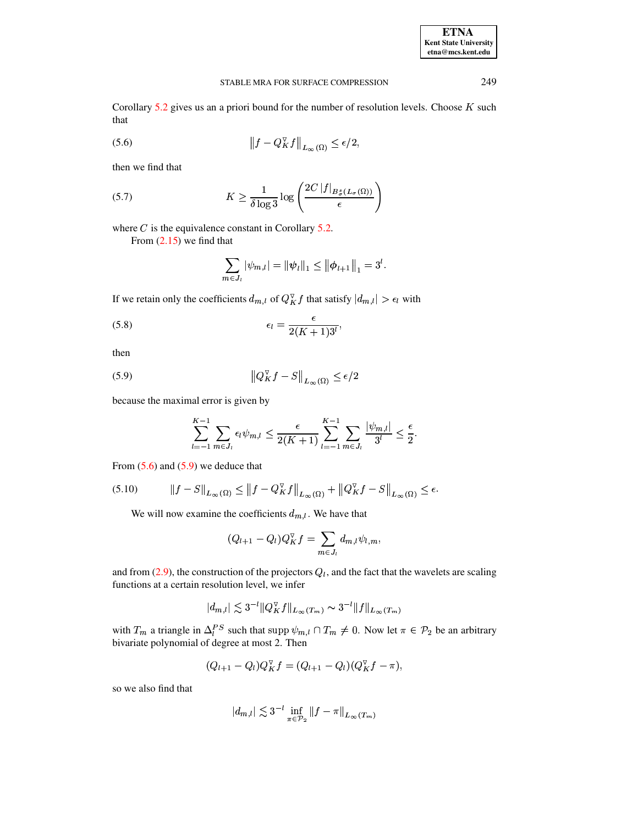| <b>ETNA</b>           |
|-----------------------|
| Kent State University |
| etna@mcs.kent.edu     |

<span id="page-25-1"></span>Corollary [5.2](#page-24-0) gives us an a priori bound for the number of resolution levels. Choose  $K$  such that

$$
(5.6) \t\t\t\t||f - Q_K^{\nabla} f||_{L_{\infty}(\Omega)} \le \epsilon/2,
$$

<span id="page-25-3"></span>then we find that

(5.7) 
$$
K \geq \frac{1}{\delta \log 3} \log \left( \frac{2C |f|_{B^s_{\sigma}(L_{\sigma}(\Omega))}}{\epsilon} \right)
$$

where  $C$  is the equivalence constant in Corollary [5.2.](#page-24-0)

From  $(2.15)$  we find that

<span id="page-25-0"></span>
$$
\sum_{m \in J_l} |\psi_{m,l}| = \|\psi_l\|_1 \leq \|\phi_{l+1}\|_1 = 3^l.
$$

If we retain only the coefficients  $d_{m,l}$  of  $Q_K^{\nabla} f$  that satisfy  $|d_{m,l}| > \epsilon_l$  with

$$
\epsilon_l = \frac{\epsilon}{2(K+1)3^l},
$$

<span id="page-25-2"></span>then

$$
(5.9) \t\t\t \|Q_K^{\triangledown}f - S\|_{L_{\infty}(\Omega)} \le \epsilon/2
$$

because the maximal error is given by

<span id="page-25-4"></span>
$$
\sum_{l=-1}^{K-1}\sum_{m\in J_l}\epsilon_l\psi_{m,l}\leq \frac{\epsilon}{2(K+1)}\sum_{l=-1}^{K-1}\sum_{m\in J_l}\frac{|\psi_{m,l}|}{3^l}\leq \frac{\epsilon}{2}.
$$

From  $(5.6)$  and  $(5.9)$  we deduce that

$$
(5.10) \t\t\t||f - S||_{L_{\infty}(\Omega)} \le ||f - Q_K^{\nabla} f||_{L_{\infty}(\Omega)} + ||Q_K^{\nabla} f - S||_{L_{\infty}(\Omega)} \le \epsilon.
$$

We will now examine the coefficients  $d_{m,l}$ . We have that

$$
(Q_{l+1}-Q_l)Q_K^{\triangledown}f=\sum_{m\in J_l}d_{m,l}\psi_{l,m},
$$

and from [\(2.9\)](#page-3-4), the construction of the projectors  $Q<sub>l</sub>$ , and the fact that the wavelets are scaling functions at a certain resolution level, we infer

$$
|d_{m,l}| \lesssim 3^{-l} \|Q_K^{\triangledown} f\|_{L_{\infty}(T_m)} \sim 3^{-l} \|f\|_{L_{\infty}(T_m)}
$$

with  $T_m$  a triangle in  $\Delta_l^{PS}$  such that  $\sup p \psi_{m,l} \cap T_m \neq 0$ . Now let  $\pi \in \mathcal{P}_2$  be an arbitrary bivariate polynomial of degree at most 2. Then

$$
(Q_{l+1} - Q_l)Q_K^{\nabla} f = (Q_{l+1} - Q_l)(Q_K^{\nabla} f - \pi),
$$

so we also find that

$$
|d_{m,l}|\lesssim 3^{-l}\inf_{\pi\in{\mathcal{P}}_2}\|f-\pi\|_{L_\infty(T_m)}
$$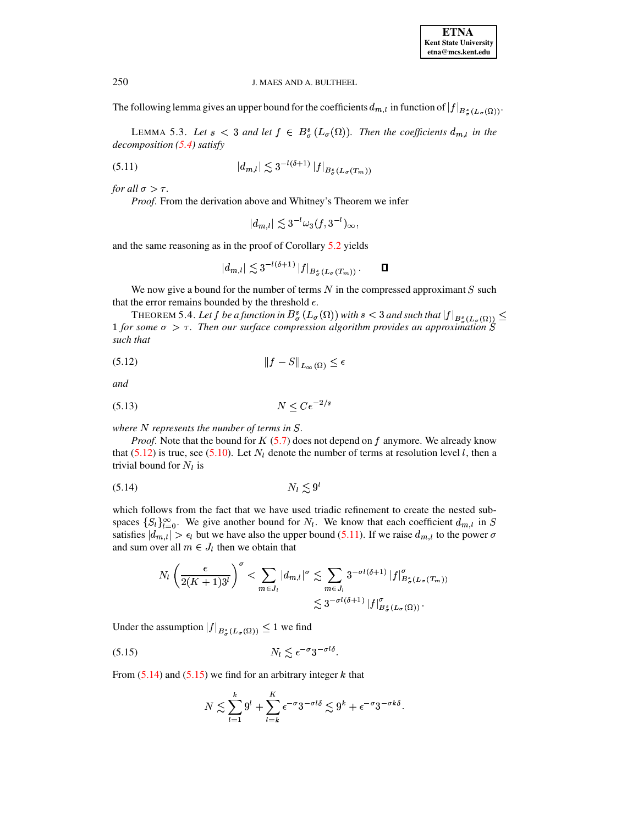The following lemma gives an upper bound for the coefficients  $d_{m,l}$  in function of  $|f|_{B^s_{\sigma}(L_{\sigma}(\Omega))}$ .<br>LEMMA 5.3. *Let*  $s < 3$  *and let*  $f \in B^s_{\sigma}(L_{\sigma}(\Omega))$ . *Then the coefficients*  $d_{m,l}$  *in the* 

<span id="page-26-1"></span>and let  $f \in B^s_\sigma(L_\sigma(\Omega))$ . Then the coefficients  $d_{m,l}$  in the *decomposition [\(5.4\)](#page-23-4) satisfy*

(5.11) 
$$
|d_{m,l}| \lesssim 3^{-l(\delta+1)} |f|_{B^s_{\sigma}(L_{\sigma}(T_m))}
$$

*for all*  $\sigma > \tau$ *.* 

*Proof*. From the derivation above and Whitney's Theorem we infer

$$
|d_{m,l}|\lesssim 3^{-l}\omega_3(f,3^{-l})_\infty,
$$

and the same reasoning as in the proof of Corollary [5.2](#page-24-0) yields

<span id="page-26-4"></span>
$$
|d_{m,l}| \lesssim 3^{-l(\delta+1)} |f|_{B^s_\sigma(L_\sigma(T_m))}.\qquad \Box
$$

We now give a bound for the number of terms  $\tilde{N}$  in the compressed approximant  $\tilde{S}$  such that the error remains bounded by the threshold  $\epsilon$ .

<span id="page-26-0"></span>THEOREM 5.4. Let  $f$  be a function in  $B^s_{\sigma}\left(L_{\sigma}(\Omega)\right)$  with  $s< 3$  and such that  $|f|_{B^s_{\sigma}(L_{\sigma}(\Omega))}\leq$ *for some*  $\sigma > \tau$ . Then our surface compression algorithm provides an approximation  $S$ *such that*

$$
(5.12)\t\t\t\t\t||f - S||_{L_{\infty}(\Omega)} \le \epsilon
$$

<span id="page-26-5"></span>*and*

$$
(5.13) \t\t N \le C\epsilon^{-2/s}
$$

*x* where *N* represents the number of terms in S.

*Proof.* Note that the bound for  $K$  [\(5.7\)](#page-25-3) does not depend on  $f$  anymore. We already know that [\(5.12\)](#page-26-0) is true, see [\(5.10\)](#page-25-4). Let  $N_l$  denote the number of terms at resolution level l, then a trivial bound for  $N_l$  is

<span id="page-26-2"></span>
$$
(5.14) \t\t N_l \lesssim 9^l
$$

which follows from the fact that we have used triadic refinement to create the nested subspaces  $\{S_l\}_{l=0}^{\infty}$ . We give another bound for  $N_l$ . We know that each coefficient  $d_{m,l}$  in S satisfies  $|d_{m,l}| > \epsilon_l$  but we have also the upper bound [\(5.11\)](#page-26-1). If we raise  $d_{m,l}$  to the power  $\sigma$ and sum over all  $m \in J_l$  then we obtain that

$$
N_l \left(\frac{\epsilon}{2(K+1)3^l}\right)^{\sigma} < \sum_{m \in J_l} |d_{m,l}|^{\sigma} \lesssim \sum_{m \in J_l} 3^{-\sigma l(\delta+1)} |f|_{B_{\sigma}^s(L_{\sigma}(T_m))}^{\sigma} \\ < 3^{-\sigma l(\delta+1)} |f|_{B_{\sigma}^s(L_{\sigma}(\Omega))}^{\sigma}.
$$

Under the assumption  $|f|_{B^s_{\sigma}(L_{\sigma}(\Omega))} \leq 1$  we find

(5.15)  $N_l \lesssim \epsilon^{-\sigma} 3^{-\sigma l \delta}$ .

From  $(5.14)$  and  $(5.15)$  we find for an arbitrary integer k that

<span id="page-26-3"></span>
$$
N \lesssim \sum_{l=1}^k 9^l + \sum_{l=k}^K \epsilon^{-\sigma} 3^{-\sigma l \delta} \lesssim 9^k + \epsilon^{-\sigma} 3^{-\sigma k \delta}.
$$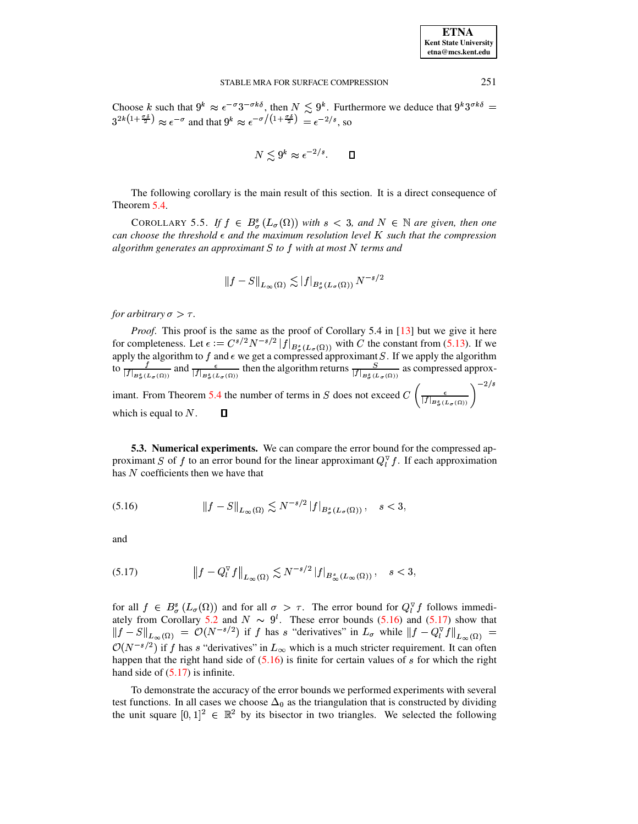Choose k such that  $9^k \approx \epsilon^{-\sigma} 3^{-\sigma k \delta}$ , then  $N \lesssim 9^k$ . Furthermore we deduce that  $9^k 3^{\sigma k \delta} =$  $3^{2k(1+\frac{\sigma\delta}{2})} \approx \epsilon^{-\sigma}$  and that  $9^k \approx \epsilon^{-\sigma/(1+\frac{\sigma\delta}{2})} = \epsilon^{-2/s}$ , so

$$
N \lesssim 9^k \approx \epsilon^{-2/s}.\qquad \Box
$$

The following corollary is the main result of this section. It is a direct consequence of Theorem 5.4.

COROLLARY 5.5. If  $f \in B^s_\sigma(L_\sigma(\Omega))$  with  $s < 3$ , and  $N \in \mathbb{N}$  are given, then one can choose the threshold  $\epsilon$  and the maximum resolution level K such that the compression algorithm generates an approximant  $S$  to  $f$  with at most  $N$  terms and

$$
\|f - S\|_{L_{\infty}(\Omega)} \lesssim |f|_{B_{\sigma}^{s}(L_{\sigma}(\Omega))} N^{-s/2}
$$

for arbitrary  $\sigma > \tau$ .

*Proof.* This proof is the same as the proof of Corollary 5.4 in [13] but we give it here for completeness. Let  $\epsilon := C^{s/2} N^{-s/2} |f|_{B^s_{\sigma}(L_{\sigma}(\Omega))}$  with C the constant from (5.13). If we apply the algorithm to f and  $\epsilon$  we get a compressed approximant S. If we apply the algorithm to  $\frac{f}{|f|_{B^s_{\sigma}(L_{\sigma}(\Omega$ imant. From Theorem 5.4 the number of terms in S does not exceed  $C\left(\frac{\epsilon}{|f|_{B^s_{\sigma}(L_{\sigma}(\Omega))}}\right)^{-2/s}$ which is equal to  $N$ .  $\Box$ 

<span id="page-27-0"></span>5.3. Numerical experiments. We can compare the error bound for the compressed approximant S of f to an error bound for the linear approximant  $Q_l^{\nabla} f$ . If each approximation has  $N$  coefficients then we have that

(5.16) 
$$
||f - S||_{L_{\infty}(\Omega)} \lesssim N^{-s/2} |f|_{B^s_{\sigma}(L_{\sigma}(\Omega))}, \quad s < 3,
$$

<span id="page-27-1"></span>and

(5.17) 
$$
\|f - Q_t^{\nabla} f\|_{L_{\infty}(\Omega)} \lesssim N^{-s/2} |f|_{B^s_{\infty}(L_{\infty}(\Omega))}, \quad s < 3,
$$

for all  $f \in B^s_\sigma(L_\sigma(\Omega))$  and for all  $\sigma > \tau$ . The error bound for  $Q_l^{\nabla} f$  follows immediately from Corollary  $5.2$  and  $N \sim 9^l$ . These error bounds (5.16) and (5.17) show that<br> $||f - S||_{L_{\infty}(\Omega)} = \mathcal{O}(N^{-s/2})$  if f has s "derivatives" in  $L_{\sigma}$  while  $||f - Q_l^{\sigma}f||_{L_{\infty}(\Omega)} =$  $\mathcal{O}(N^{-s/2})$  if f has s "derivatives" in  $L_{\infty}$  which is a much stricter requirement. It can often happen that the right hand side of  $(5.16)$  is finite for certain values of  $s$  for which the right hand side of  $(5.17)$  is infinite.

To demonstrate the accuracy of the error bounds we performed experiments with several test functions. In all cases we choose  $\Delta_0$  as the triangulation that is constructed by dividing the unit square  $[0,1]^2 \in \mathbb{R}^2$  by its bisector in two triangles. We selected the following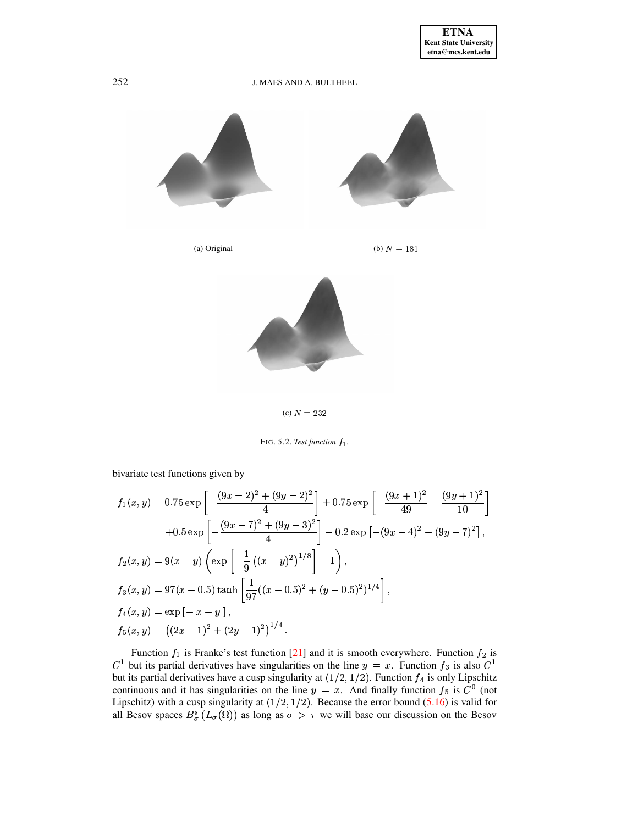



(c)  $N = 232$ 

<span id="page-28-0"></span>FIG. 5.2. Test function  $f_1$ .

bivariate test functions given by

$$
f_1(x,y) = 0.75 \exp\left[-\frac{(9x-2)^2 + (9y-2)^2}{4}\right] + 0.75 \exp\left[-\frac{(9x+1)^2}{49} - \frac{(9y+1)^2}{10}\right]
$$
  
+ 0.5  $\exp\left[-\frac{(9x-7)^2 + (9y-3)^2}{4}\right] - 0.2 \exp\left[-(9x-4)^2 - (9y-7)^2\right],$   

$$
f_2(x,y) = 9(x-y) \left(\exp\left[-\frac{1}{9}\left((x-y)^2\right)^{1/8}\right] - 1\right),
$$
  

$$
f_3(x,y) = 97(x-0.5) \tanh\left[\frac{1}{97}((x-0.5)^2 + (y-0.5)^2)^{1/4}\right],
$$
  

$$
f_4(x,y) = \exp\left[-|x-y|\right],
$$
  

$$
f_5(x,y) = ((2x-1)^2 + (2y-1)^2)^{1/4}.
$$

Function  $f_1$  is Franke's test function [21] and it is smooth everywhere. Function  $f_2$  is  $C<sup>1</sup>$  but its partial derivatives have singularities on the line  $y = x$ . Function  $f_3$  is also  $C<sup>1</sup>$ but its partial derivatives have a cusp singularity at  $(1/2, 1/2)$ . Function  $f_4$  is only Lipschitz continuous and it has singularities on the line  $y = x$ . And finally function  $f_5$  is  $C^0$  (not Lipschitz) with a cusp singularity at  $(1/2, 1/2)$ . Because the error bound  $(5.16)$  is valid for all Besov spaces  $B^s_\sigma(L_\sigma(\Omega))$  as long as  $\sigma > \tau$  we will base our discussion on the Besov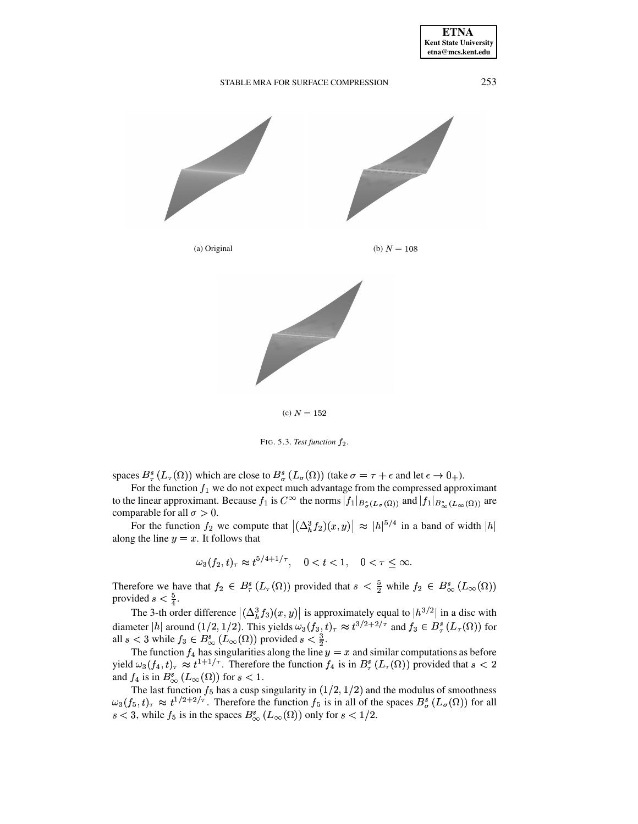

FIG. 5.3. Test function  $f_2$ .

spaces  $B^s_\tau(L_\tau(\Omega))$  which are close to  $B^s_\sigma(L_\sigma(\Omega))$  (take  $\sigma = \tau + \epsilon$  and let  $\epsilon \to 0_+$ ).

For the function  $f_1$  we do not expect much advantage from the compressed approximant to the linear approximant. Because  $f_1$  is  $C^{\infty}$  the norms  $|f_1|_{B^s_{\sigma}(L_{\sigma}(\Omega))}$  and  $|f_1|_{B^s_{\infty}(L_{\infty}(\Omega))}$  are comparable for all  $\sigma > 0$ .

For the function  $f_2$  we compute that  $|(\Delta_h^3 f_2)(x,y)| \approx |h|^{5/4}$  in a band of width  $|h|$ along the line  $y = x$ . It follows that

$$
\omega_3(f_2,t)_\tau \approx t^{5/4+1/\tau}, \quad 0 < t < 1, \quad 0 < \tau \leq \infty.
$$

Therefore we have that  $f_2 \in B^s_\tau(L_\tau(\Omega))$  provided that  $s < \frac{5}{2}$  while  $f_2 \in B^s_\infty(L_\infty(\Omega))$ provided  $s < \frac{5}{4}$ .

The 3-th order difference  $|(\Delta_h^3 f_3)(x,y)|$  is approximately equal to  $|h^{3/2}|$  in a disc with diameter |h| around (1/2, 1/2). This yields  $\omega_3(f_3,t)_{\tau} \approx t^{3/2+2/\tau}$  and  $f_3 \in B^s_{\tau}(L_{\tau}(\Omega))$  for all  $s < 3$  while  $f_3 \in B^s_\infty(L_\infty(\Omega))$  provided  $s < \frac{3}{2}$ .

The function  $f_4$  has singularities along the line  $y = x$  and similar computations as before yield  $\omega_3(f_4, t)_{\tau} \approx t^{1+1/\tau}$ . Therefore the function  $f_4$  is in  $B^s_{\tau}(L_{\tau}(\Omega))$  provided that  $s < 2$ and  $f_4$  is in  $B^s_{\infty}(L_{\infty}(\Omega))$  for  $s < 1$ .

The last function  $f_5$  has a cusp singularity in  $(1/2, 1/2)$  and the modulus of smoothness  $\omega_3(f_5, t)_{\tau} \approx t^{1/2 + 2/\tau}$ . Therefore the function  $f_5$  is in all of the spaces  $B^s_{\sigma}(L_{\sigma}(\Omega))$  for all  $s < 3$ , while  $f_5$  is in the spaces  $B^s_{\infty}(L_{\infty}(\Omega))$  only for  $s < 1/2$ .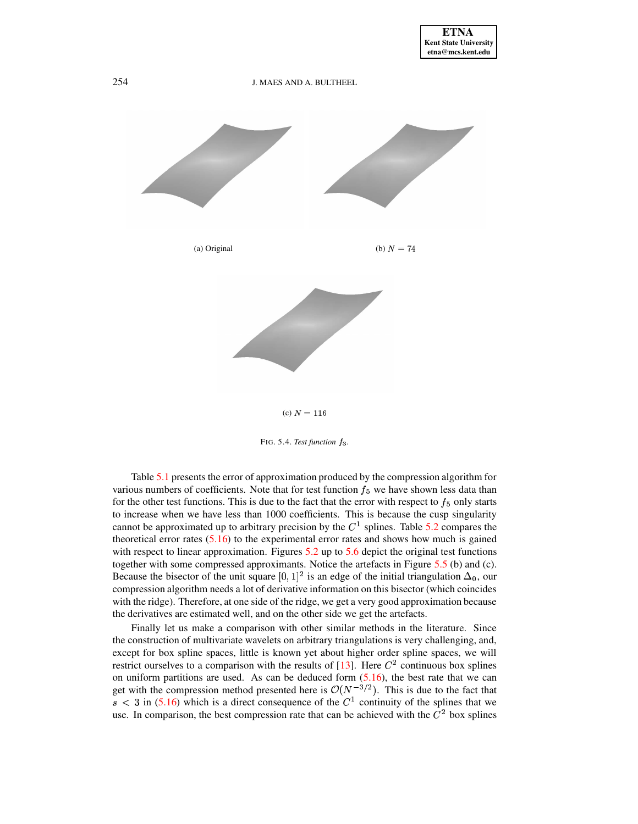

FIG. 5.4. *Test function*  $f_3$ .

Table [5.1](#page-31-0) presents the error of approximation produced by the compression algorithm for various numbers of coefficients. Note that for test function  $f_5$  we have shown less data than for the other test functions. This is due to the fact that the error with respect to  $f<sub>5</sub>$  only starts to increase when we have less than 1000 coefficients. This is because the cusp singularity cannot be approximated up to arbitrary precision by the  $C<sup>1</sup>$  splines. Table [5.2](#page-31-1) compares the theoretical error rates  $(5.16)$  to the experimental error rates and shows how much is gained with respect to linear approximation. Figures [5.2](#page-28-0) up to [5.6](#page-33-12) depict the original test functions together with some compressed approximants. Notice the artefacts in Figure [5.5](#page-32-0) (b) and (c). Because the bisector of the unit square  $[0, 1]^2$  is an edge of the initial triangulation  $\Delta_0$ , our compression algorithm needs a lot of derivative information on this bisector (which coincides with the ridge). Therefore, at one side of the ridge, we get a very good approximation because the derivatives are estimated well, and on the other side we get the artefacts.

Finally let us make a comparison with other similar methods in the literature. Since the construction of multivariate wavelets on arbitrary triangulations is very challenging, and, except for box spline spaces, little is known yet about higher order spline spaces, we will restrict ourselves to a comparison with the results of [\[13\]](#page-34-0). Here  $C^2$  continuous box splines on uniform partitions are used. As can be deduced form  $(5.16)$ , the best rate that we can get with the compression method presented here is  $\mathcal{O}(N^{-3/2})$ . This is due to the fact that  $s < 3$  in [\(5.16\)](#page-27-0) which is a direct consequence of the  $C<sup>1</sup>$  continuity of the splines that we use. In comparison, the best compression rate that can be achieved with the  $C<sup>2</sup>$  box splines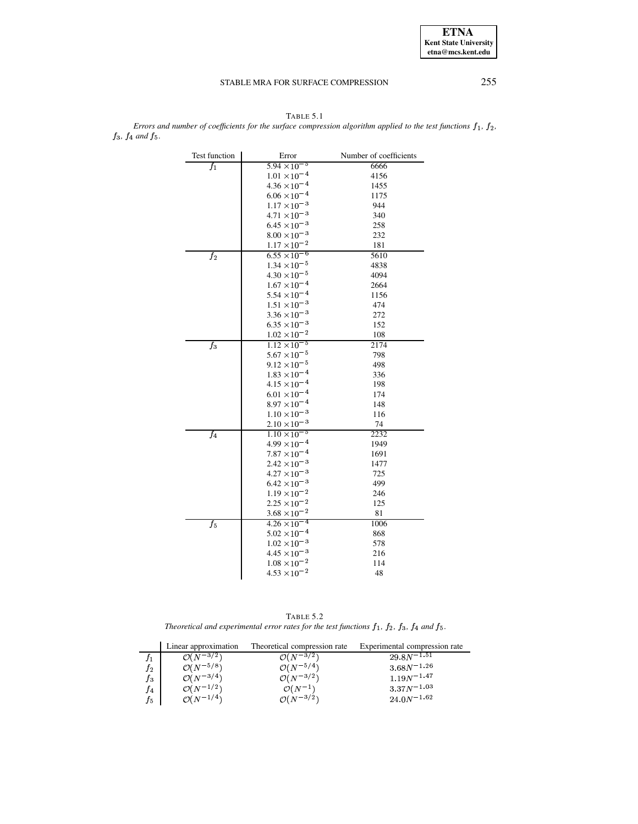**ETNA** Kent State University etna@mcs.kent.edu

### STABLE MRA FOR SURFACE COMPRESSION

255

<span id="page-31-0"></span>TABLE 5.1 Errors and number of coefficients for the surface compression algorithm applied to the test functions  $f_1$ ,  $f_2$ ,  $f_3$ ,  $f_4$  and  $f_5$ .

| Test function    | Error                 | Number of coefficients |
|------------------|-----------------------|------------------------|
| f <sub>1</sub>   | $5.94 \times 10^{-5}$ | 6666                   |
|                  | $1.01 \times 10^{-4}$ | 4156                   |
|                  | $4.36 \times 10^{-4}$ | 1455                   |
|                  | $6.06 \times 10^{-4}$ | 1175                   |
|                  | $1.17 \times 10^{-3}$ | 944                    |
|                  | $4.71 \times 10^{-3}$ | 340                    |
|                  | $6.45 \times 10^{-3}$ | 258                    |
|                  | $8.00 \times 10^{-3}$ | 232                    |
|                  | $1.17 \times 10^{-2}$ | 181                    |
| f <sub>2</sub>   | $6.55 \times 10^{-6}$ | 5610                   |
|                  | $1.34 \times 10^{-5}$ | 4838                   |
|                  | $4.30 \times 10^{-5}$ | 4094                   |
|                  | $1.67 \times 10^{-4}$ | 2664                   |
|                  | $5.54 \times 10^{-4}$ | 1156                   |
|                  | $1.51 \times 10^{-3}$ | 474                    |
|                  | $3.36 \times 10^{-3}$ | 272                    |
|                  | $6.35 \times 10^{-3}$ | 152                    |
|                  | $1.02\times10^{-2}$   | 108                    |
| $f_3$            | $1.12 \times 10^{-5}$ | 2174                   |
|                  | $5.67 \times 10^{-5}$ | 798                    |
|                  | $9.12 \times 10^{-5}$ | 498                    |
|                  | $1.83 \times 10^{-4}$ | 336                    |
|                  | $4.15 \times 10^{-4}$ | 198                    |
|                  | $6.01 \times 10^{-4}$ | 174                    |
|                  | $8.97 \times 10^{-4}$ | 148                    |
|                  | $1.10 \times 10^{-3}$ | 116                    |
|                  | $2.10 \times 10^{-3}$ | 74                     |
| $\overline{f_4}$ | $1.10 \times 10^{-5}$ | 2232                   |
|                  | $4.99 \times 10^{-4}$ | 1949                   |
|                  | $7.87 \times 10^{-4}$ | 1691                   |
|                  | $2.42 \times 10^{-3}$ | 1477                   |
|                  | $4.27\times10^{-3}$   | 725                    |
|                  | $6.42 \times 10^{-3}$ | 499                    |
|                  | $1.19 \times 10^{-2}$ | 246                    |
|                  | $2.25 \times 10^{-2}$ | 125                    |
|                  | $3.68 \times 10^{-2}$ | 81                     |
| $f_5$            | $4.26 \times 10^{-4}$ | 1006                   |
|                  | $5.02 \times 10^{-4}$ | 868                    |
|                  | $1.02\times10^{-3}$   | 578                    |
|                  | $4.45 \times 10^{-3}$ | 216                    |
|                  | $1.08\times10^{-2}$   | 114                    |
|                  | $4.53 \times 10^{-2}$ | 48                     |

TABLE  $5.2\,$ Theoretical and experimental error rates for the test functions  $f_1$ ,  $f_2$ ,  $f_3$ ,  $f_4$  and  $f_5$ .

<span id="page-31-1"></span>

|         | Linear approximation    | Theoretical compression rate | Experimental compression rate |
|---------|-------------------------|------------------------------|-------------------------------|
|         | $\mathcal{O}(N^{-3/2})$ | $\mathcal{O}(N^{-3/2})$      | $29.8N^{-1.51}$               |
| $f_2$   | $\mathcal{O}(N^{-5/8})$ | $\mathcal{O}(N^{-5/4})$      | $3.68N^{-1.26}$               |
| $f_3$   | $\mathcal{O}(N^{-3/4})$ | $\mathcal{O}(N^{-3/2})$      | $1.19N^{-1.47}$               |
| $f_{4}$ | $\mathcal{O}(N^{-1/2})$ | $\mathcal{O}(N^{-1})$        | $3.37N^{-1.03}$               |
| $f_5$   | $\mathcal{O}(N^{-1/4})$ | $O(N^{-3/2})$                | $24.0 N^{-1.62}$              |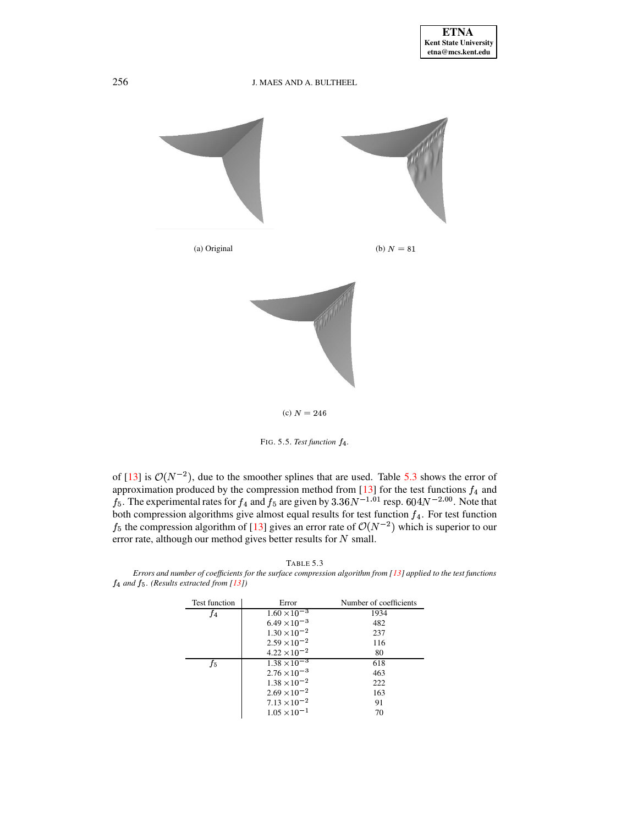

<span id="page-32-0"></span>FIG. 5.5. Test function  $f_4$ .

of [\[13\]](#page-34-0) is  $\mathcal{O}(N^{-2})$ , due to the smoother splines that are used. Table [5.3](#page-32-1) shows the error of approximation produced by the compression method from [\[13\]](#page-34-0) for the test functions  $f_4$  and  $f_5$ . The experimental rates for  $f_4$  and  $f_5$  are given by  $3.36 N^{-1.01}$  resp.  $604 N^{-2.00}$ . Note that both compression algorithms give almost equal results for test function  $f_4$ . For test function  $f_5$  the compression algorithm of [\[13\]](#page-34-0) gives an error rate of  $\mathcal{O}(N^{-2})$  which is superior to our error rate, although our method gives better results for  $N$  small.

TABLE 5.3

<span id="page-32-1"></span>Errors and number of coefficients for the surface compression algorithm from [\[13\]](#page-34-0) applied to the test functions 8< *and .(Results extracted from [\[13\]](#page-34-0))*

| Test function | Error                 | Number of coefficients |
|---------------|-----------------------|------------------------|
| f4            | $1.60 \times 10^{-3}$ | 1934                   |
|               | $6.49 \times 10^{-3}$ | 482                    |
|               | $1.30 \times 10^{-2}$ | 237                    |
|               | $2.59 \times 10^{-2}$ | 116                    |
|               | $4.22 \times 10^{-2}$ | 80                     |
| f5            | $1.38 \times 10^{-3}$ | 618                    |
|               | $2.76 \times 10^{-3}$ | 463                    |
|               | $1.38 \times 10^{-2}$ | 222                    |
|               | $2.69 \times 10^{-2}$ | 163                    |
|               | $7.13 \times 10^{-2}$ | 91                     |
|               | $1.05 \times 10^{-1}$ | 70                     |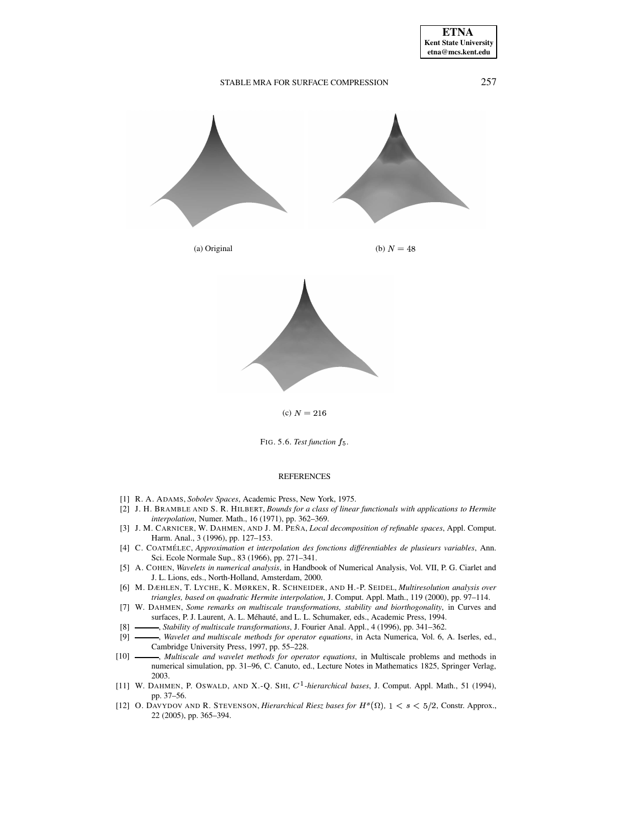

(c)  $N = 216$ 

<span id="page-33-12"></span>FIG. 5.6. *Test function .*

#### REFERENCES

- <span id="page-33-9"></span><span id="page-33-8"></span>[1] R. A. ADAMS, *Sobolev Spaces*, Academic Press, New York, 1975.
- [2] J. H. BRAMBLE AND S. R. HILBERT, *Bounds for a class of linear functionals with applications to Hermite interpolation*, Numer. Math., 16 (1971), pp. 362–369.
- <span id="page-33-1"></span>[3] J. M. CARNICER, W. DAHMEN, AND J. M. PEN˜ A, *Local decomposition of refinable spaces*, Appl. Comput. Harm. Anal., 3 (1996), pp. 127–153.
- <span id="page-33-4"></span>[4] C. COATME´ LEC, *Approximation et interpolation des fonctions differ´ entiables de plusieurs variables*, Ann. Sci. Ecole Normale Sup., 83 (1966), pp. 271–341.
- <span id="page-33-5"></span>[5] A. COHEN, *Wavelets in numerical analysis*, in Handbook of Numerical Analysis, Vol. VII, P. G. Ciarlet and J. L. Lions, eds., North-Holland, Amsterdam, 2000.
- <span id="page-33-0"></span>[6] M. DÆHLEN, T. LYCHE, K. MØRKEN, R. SCHNEIDER, AND H.-P. SEIDEL, *Multiresolution analysis over triangles, based on quadratic Hermite interpolation*, J. Comput. Appl. Math., 119 (2000), pp. 97–114.
- <span id="page-33-2"></span>[7] W. DAHMEN, *Some remarks on multiscale transformations, stability and biorthogonality*, in Curves and surfaces, P. J. Laurent, A. L. Méhauté, and L. L. Schumaker, eds., Academic Press, 1994.
- <span id="page-33-6"></span><span id="page-33-3"></span>[8] , *Stability of multiscale transformations*, J. Fourier Anal. Appl., 4 (1996), pp. 341–362.
- [9] , *Wavelet and multiscale methods for operator equations*, in Acta Numerica, Vol. 6, A. Iserles, ed., Cambridge University Press, 1997, pp. 55–228.
- <span id="page-33-7"></span>[10] , *Multiscale and wavelet methods for operator equations*, in Multiscale problems and methods in numerical simulation, pp. 31–96, C. Canuto, ed., Lecture Notes in Mathematics 1825, Springer Verlag, 2003.
- <span id="page-33-10"></span>[11] W. DAHMEN, P. OSWALD, AND X.-Q. SHI,  $C^1$ -hierarchical bases, J. Comput. Appl. Math., 51 (1994), pp. 37–56.
- <span id="page-33-11"></span>[12] O. DAVYDOV AND R. STEVENSON, *Hierarchical Riesz bases for*  $H^s(\Omega)$ ,  $1 < s < 5/2$ , Constr. Approx., 22 (2005), pp. 365–394.